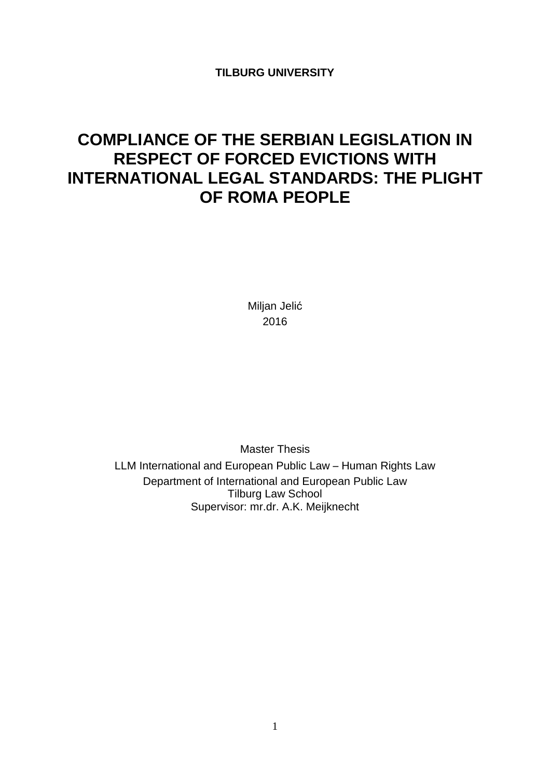**TILBURG UNIVERSITY**

# **COMPLIANCE OF THE SERBIAN LEGISLATION IN RESPECT OF FORCED EVICTIONS WITH INTERNATIONAL LEGAL STANDARDS: THE PLIGHT OF ROMA PEOPLE**

Miljan Jelić 2016

Master Thesis

LLM International and European Public Law – Human Rights Law Department of International and European Public Law Tilburg Law School Supervisor: mr.dr. A.K. Meijknecht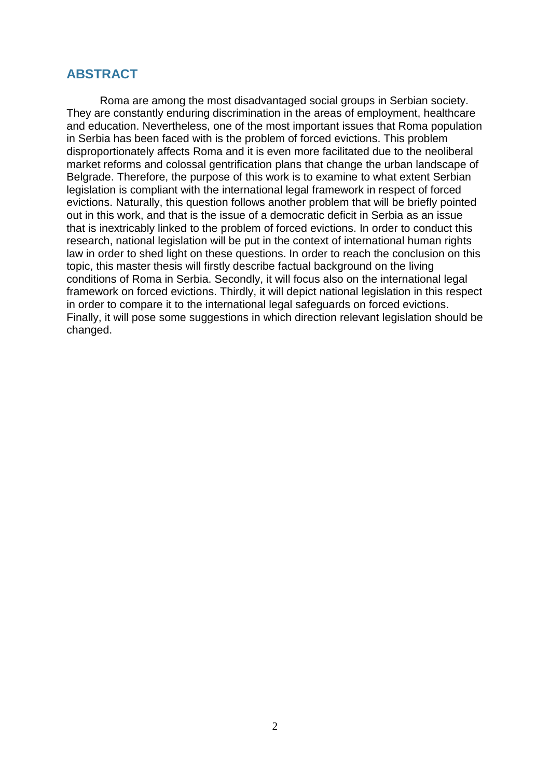### <span id="page-1-0"></span>**ABSTRACT**

Roma are among the most disadvantaged social groups in Serbian society. They are constantly enduring discrimination in the areas of employment, healthcare and education. Nevertheless, one of the most important issues that Roma population in Serbia has been faced with is the problem of forced evictions. This problem disproportionately affects Roma and it is even more facilitated due to the neoliberal market reforms and colossal gentrification plans that change the urban landscape of Belgrade. Therefore, the purpose of this work is to examine to what extent Serbian legislation is compliant with the international legal framework in respect of forced evictions. Naturally, this question follows another problem that will be briefly pointed out in this work, and that is the issue of a democratic deficit in Serbia as an issue that is inextricably linked to the problem of forced evictions. In order to conduct this research, national legislation will be put in the context of international human rights law in order to shed light on these questions. In order to reach the conclusion on this topic, this master thesis will firstly describe factual background on the living conditions of Roma in Serbia. Secondly, it will focus also on the international legal framework on forced evictions. Thirdly, it will depict national legislation in this respect in order to compare it to the international legal safeguards on forced evictions. Finally, it will pose some suggestions in which direction relevant legislation should be changed.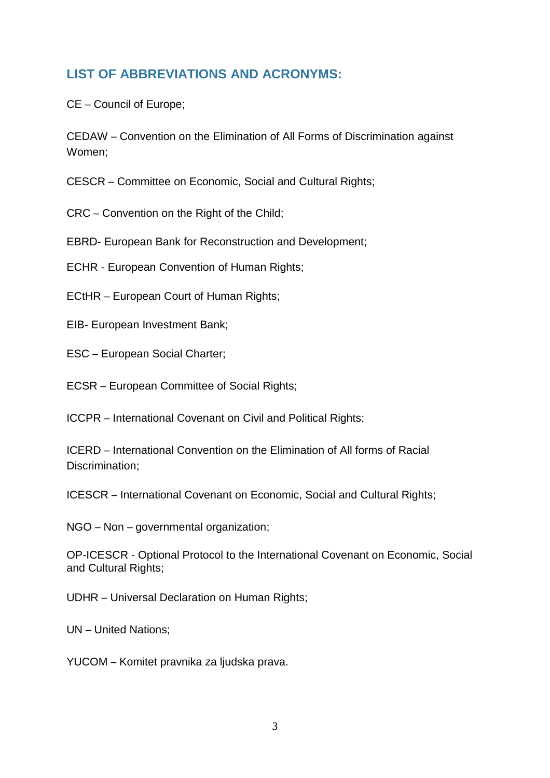# <span id="page-2-0"></span>**LIST OF ABBREVIATIONS AND ACRONYMS:**

CE – Council of Europe;

CEDAW – Convention on the Elimination of All Forms of Discrimination against Women;

CESCR – Committee on Economic, Social and Cultural Rights;

CRC – Convention on the Right of the Child;

EBRD- European Bank for Reconstruction and Development;

ECHR - European Convention of Human Rights;

ECtHR – European Court of Human Rights;

EIB- European Investment Bank;

ESC – European Social Charter;

ECSR – European Committee of Social Rights;

ICCPR – International Covenant on Civil and Political Rights;

ICERD – International Convention on the Elimination of All forms of Racial Discrimination;

ICESCR – International Covenant on Economic, Social and Cultural Rights;

NGO – Non – governmental organization;

OP-ICESCR - Optional Protocol to the International Covenant on Economic, Social and Cultural Rights;

UDHR – Universal Declaration on Human Rights;

UN – United Nations;

YUCOM – Komitet pravnika za ljudska prava.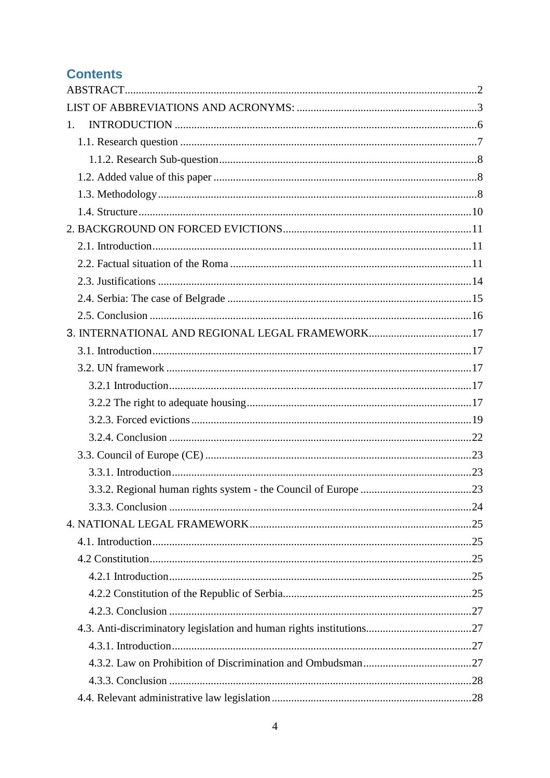# **Contents**

| $1_{\cdot}$                                     |  |
|-------------------------------------------------|--|
|                                                 |  |
|                                                 |  |
|                                                 |  |
|                                                 |  |
|                                                 |  |
|                                                 |  |
|                                                 |  |
|                                                 |  |
|                                                 |  |
|                                                 |  |
|                                                 |  |
| 3. INTERNATIONAL AND REGIONAL LEGAL FRAMEWORK17 |  |
|                                                 |  |
|                                                 |  |
|                                                 |  |
|                                                 |  |
|                                                 |  |
|                                                 |  |
|                                                 |  |
|                                                 |  |
|                                                 |  |
|                                                 |  |
|                                                 |  |
|                                                 |  |
|                                                 |  |
|                                                 |  |
|                                                 |  |
|                                                 |  |
|                                                 |  |
|                                                 |  |
|                                                 |  |
|                                                 |  |
|                                                 |  |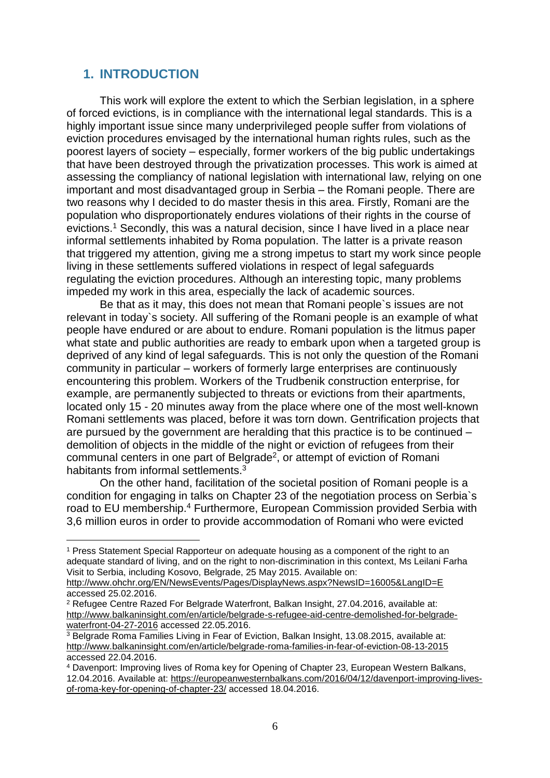# <span id="page-5-0"></span>**1. INTRODUCTION**

 $\overline{a}$ 

This work will explore the extent to which the Serbian legislation, in a sphere of forced evictions, is in compliance with the international legal standards. This is a highly important issue since many underprivileged people suffer from violations of eviction procedures envisaged by the international human rights rules, such as the poorest layers of society – especially, former workers of the big public undertakings that have been destroyed through the privatization processes. This work is aimed at assessing the compliancy of national legislation with international law, relying on one important and most disadvantaged group in Serbia – the Romani people. There are two reasons why I decided to do master thesis in this area. Firstly, Romani are the population who disproportionately endures violations of their rights in the course of evictions.<sup>1</sup> Secondly, this was a natural decision, since I have lived in a place near informal settlements inhabited by Roma population. The latter is a private reason that triggered my attention, giving me a strong impetus to start my work since people living in these settlements suffered violations in respect of legal safeguards regulating the eviction procedures. Although an interesting topic, many problems impeded my work in this area, especially the lack of academic sources.

Be that as it may, this does not mean that Romani people`s issues are not relevant in today`s society. All suffering of the Romani people is an example of what people have endured or are about to endure. Romani population is the litmus paper what state and public authorities are ready to embark upon when a targeted group is deprived of any kind of legal safeguards. This is not only the question of the Romani community in particular – workers of formerly large enterprises are continuously encountering this problem. Workers of the Trudbenik construction enterprise, for example, are permanently subjected to threats or evictions from their apartments, located only 15 - 20 minutes away from the place where one of the most well-known Romani settlements was placed, before it was torn down. Gentrification projects that are pursued by the government are heralding that this practice is to be continued – demolition of objects in the middle of the night or eviction of refugees from their communal centers in one part of Belgrade<sup>2</sup>, or attempt of eviction of Romani habitants from informal settlements.<sup>3</sup>

On the other hand, facilitation of the societal position of Romani people is a condition for engaging in talks on Chapter 23 of the negotiation process on Serbia`s road to EU membership.<sup>4</sup> Furthermore, European Commission provided Serbia with 3,6 million euros in order to provide accommodation of Romani who were evicted

<sup>1</sup> Press Statement Special Rapporteur on adequate housing as a component of the right to an adequate standard of living, and on the right to non-discrimination in this context, Ms Leilani Farha Visit to Serbia, including Kosovo, Belgrade, 25 May 2015. Available on:

<http://www.ohchr.org/EN/NewsEvents/Pages/DisplayNews.aspx?NewsID=16005&LangID=E> accessed 25.02.2016.

<sup>2</sup> Refugee Centre Razed For Belgrade Waterfront, Balkan Insight, 27.04.2016, available at: [http://www.balkaninsight.com/en/article/belgrade-s-refugee-aid-centre-demolished-for-belgrade](http://www.balkaninsight.com/en/article/belgrade-s-refugee-aid-centre-demolished-for-belgrade-waterfront-04-27-2016)[waterfront-04-27-2016](http://www.balkaninsight.com/en/article/belgrade-s-refugee-aid-centre-demolished-for-belgrade-waterfront-04-27-2016) accessed 22.05.2016.

<sup>3</sup> Belgrade Roma Families Living in Fear of Eviction, Balkan Insight, 13.08.2015, available at: <http://www.balkaninsight.com/en/article/belgrade-roma-families-in-fear-of-eviction-08-13-2015> accessed 22.04.2016.

<sup>4</sup> Davenport: Improving lives of Roma key for Opening of Chapter 23, European Western Balkans, 12.04.2016. Available at: [https://europeanwesternbalkans.com/2016/04/12/davenport-improving-lives](https://europeanwesternbalkans.com/2016/04/12/davenport-improving-lives-of-roma-key-for-opening-of-chapter-23/)[of-roma-key-for-opening-of-chapter-23/](https://europeanwesternbalkans.com/2016/04/12/davenport-improving-lives-of-roma-key-for-opening-of-chapter-23/) accessed 18.04.2016.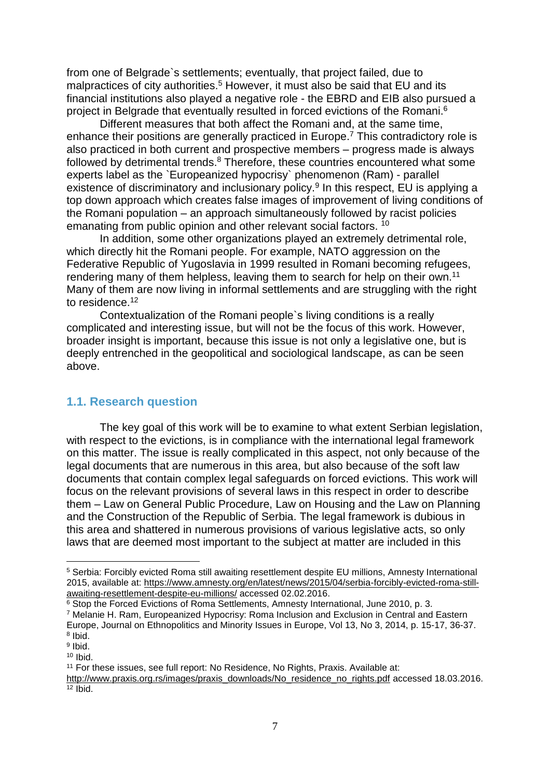from one of Belgrade`s settlements; eventually, that project failed, due to malpractices of city authorities.<sup>5</sup> However, it must also be said that EU and its financial institutions also played a negative role - the EBRD and EIB also pursued a project in Belgrade that eventually resulted in forced evictions of the Romani.<sup>6</sup>

Different measures that both affect the Romani and, at the same time, enhance their positions are generally practiced in Europe.<sup>7</sup> This contradictory role is also practiced in both current and prospective members – progress made is always followed by detrimental trends.<sup>8</sup> Therefore, these countries encountered what some experts label as the `Europeanized hypocrisy` phenomenon (Ram) - parallel existence of discriminatory and inclusionary policy.<sup>9</sup> In this respect, EU is applying a top down approach which creates false images of improvement of living conditions of the Romani population – an approach simultaneously followed by racist policies emanating from public opinion and other relevant social factors. <sup>10</sup>

In addition, some other organizations played an extremely detrimental role, which directly hit the Romani people. For example, NATO aggression on the Federative Republic of Yugoslavia in 1999 resulted in Romani becoming refugees, rendering many of them helpless, leaving them to search for help on their own.<sup>11</sup> Many of them are now living in informal settlements and are struggling with the right to residence.<sup>12</sup>

Contextualization of the Romani people`s living conditions is a really complicated and interesting issue, but will not be the focus of this work. However, broader insight is important, because this issue is not only a legislative one, but is deeply entrenched in the geopolitical and sociological landscape, as can be seen above.

#### <span id="page-6-0"></span>**1.1. Research question**

The key goal of this work will be to examine to what extent Serbian legislation, with respect to the evictions, is in compliance with the international legal framework on this matter. The issue is really complicated in this aspect, not only because of the legal documents that are numerous in this area, but also because of the soft law documents that contain complex legal safeguards on forced evictions. This work will focus on the relevant provisions of several laws in this respect in order to describe them – Law on General Public Procedure, Law on Housing and the Law on Planning and the Construction of the Republic of Serbia. The legal framework is dubious in this area and shattered in numerous provisions of various legislative acts, so only laws that are deemed most important to the subject at matter are included in this

<sup>5</sup> Serbia: Forcibly evicted Roma still awaiting resettlement despite EU millions, Amnesty International 2015, available at: [https://www.amnesty.org/en/latest/news/2015/04/serbia-forcibly-evicted-roma-still](https://www.amnesty.org/en/latest/news/2015/04/serbia-forcibly-evicted-roma-still-awaiting-resettlement-despite-eu-millions/)[awaiting-resettlement-despite-eu-millions/](https://www.amnesty.org/en/latest/news/2015/04/serbia-forcibly-evicted-roma-still-awaiting-resettlement-despite-eu-millions/) accessed 02.02.2016.

<sup>6</sup> Stop the Forced Evictions of Roma Settlements, Amnesty International, June 2010, p. 3. <sup>7</sup> Melanie H. Ram, Europeanized Hypocrisy: Roma Inclusion and Exclusion in Central and Eastern Europe, Journal on Ethnopolitics and Minority Issues in Europe, Vol 13, No 3, 2014, p. 15-17, 36-37. 8 Ibid.

<sup>&</sup>lt;sup>9</sup> Ibid.

 $10$  Ibid.

<sup>&</sup>lt;sup>11</sup> For these issues, see full report: No Residence, No Rights, Praxis. Available at:

[http://www.praxis.org.rs/images/praxis\\_downloads/No\\_residence\\_no\\_rights.pdf](http://www.praxis.org.rs/images/praxis_downloads/No_residence_no_rights.pdf) accessed 18.03.2016.  $\overline{12}$  Ibid.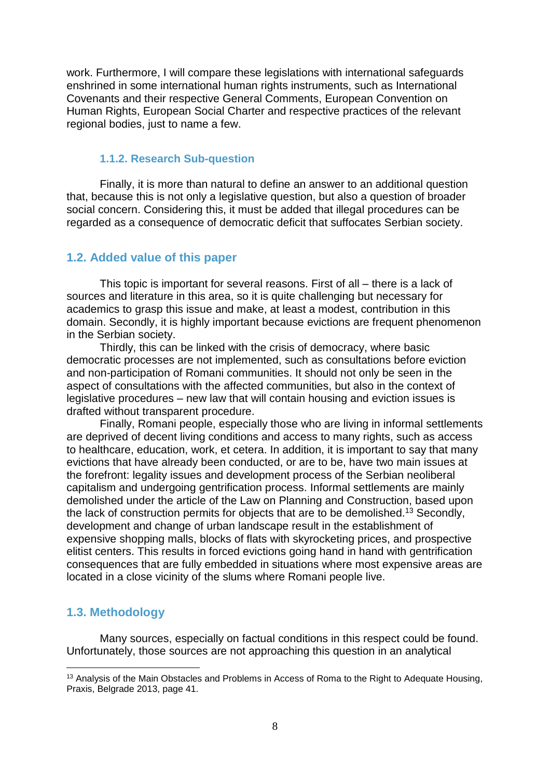work. Furthermore, I will compare these legislations with international safeguards enshrined in some international human rights instruments, such as International Covenants and their respective General Comments, European Convention on Human Rights, European Social Charter and respective practices of the relevant regional bodies, just to name a few.

#### <span id="page-7-0"></span>**1.1.2. Research Sub-question**

Finally, it is more than natural to define an answer to an additional question that, because this is not only a legislative question, but also a question of broader social concern. Considering this, it must be added that illegal procedures can be regarded as a consequence of democratic deficit that suffocates Serbian society.

#### <span id="page-7-1"></span>**1.2. Added value of this paper**

This topic is important for several reasons. First of all – there is a lack of sources and literature in this area, so it is quite challenging but necessary for academics to grasp this issue and make, at least a modest, contribution in this domain. Secondly, it is highly important because evictions are frequent phenomenon in the Serbian society.

Thirdly, this can be linked with the crisis of democracy, where basic democratic processes are not implemented, such as consultations before eviction and non-participation of Romani communities. It should not only be seen in the aspect of consultations with the affected communities, but also in the context of legislative procedures – new law that will contain housing and eviction issues is drafted without transparent procedure.

Finally, Romani people, especially those who are living in informal settlements are deprived of decent living conditions and access to many rights, such as access to healthcare, education, work, et cetera. In addition, it is important to say that many evictions that have already been conducted, or are to be, have two main issues at the forefront: legality issues and development process of the Serbian neoliberal capitalism and undergoing gentrification process. Informal settlements are mainly demolished under the article of the Law on Planning and Construction, based upon the lack of construction permits for objects that are to be demolished.<sup>13</sup> Secondly, development and change of urban landscape result in the establishment of expensive shopping malls, blocks of flats with skyrocketing prices, and prospective elitist centers. This results in forced evictions going hand in hand with gentrification consequences that are fully embedded in situations where most expensive areas are located in a close vicinity of the slums where Romani people live.

#### <span id="page-7-2"></span>**1.3. Methodology**

 $\overline{a}$ 

Many sources, especially on factual conditions in this respect could be found. Unfortunately, those sources are not approaching this question in an analytical

<sup>&</sup>lt;sup>13</sup> Analysis of the Main Obstacles and Problems in Access of Roma to the Right to Adequate Housing, Praxis, Belgrade 2013, page 41.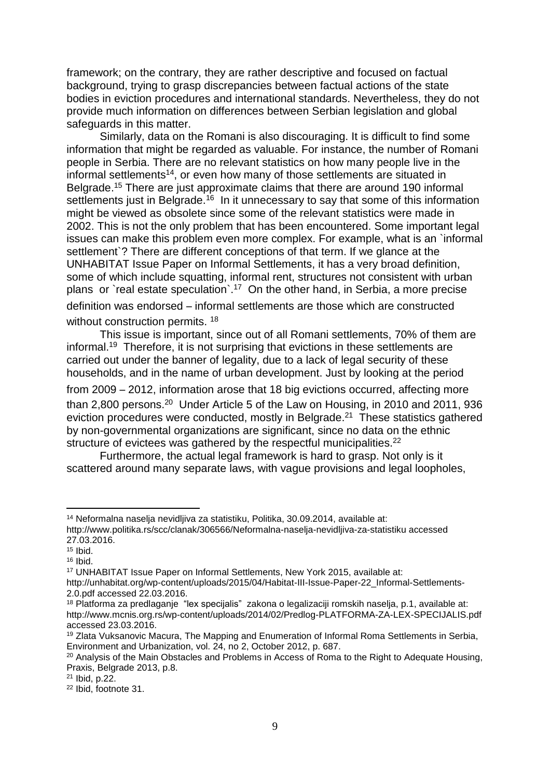framework; on the contrary, they are rather descriptive and focused on factual background, trying to grasp discrepancies between factual actions of the state bodies in eviction procedures and international standards. Nevertheless, they do not provide much information on differences between Serbian legislation and global safeguards in this matter.

Similarly, data on the Romani is also discouraging. It is difficult to find some information that might be regarded as valuable. For instance, the number of Romani people in Serbia. There are no relevant statistics on how many people live in the informal settlements<sup>14</sup>, or even how many of those settlements are situated in Belgrade. <sup>15</sup> There are just approximate claims that there are around 190 informal settlements just in Belgrade.<sup>16</sup> In it unnecessary to say that some of this information might be viewed as obsolete since some of the relevant statistics were made in 2002. This is not the only problem that has been encountered. Some important legal issues can make this problem even more complex. For example, what is an `informal settlement<sup>o</sup>? There are different conceptions of that term. If we glance at the UNHABITAT Issue Paper on Informal Settlements, it has a very broad definition, some of which include squatting, informal rent, structures not consistent with urban plans or `real estate speculation`.<sup>17</sup> On the other hand, in Serbia, a more precise definition was endorsed – informal settlements are those which are constructed without construction permits.<sup>18</sup>

This issue is important, since out of all Romani settlements, 70% of them are informal.<sup>19</sup> Therefore, it is not surprising that evictions in these settlements are carried out under the banner of legality, due to a lack of legal security of these households, and in the name of urban development. Just by looking at the period

from 2009 – 2012, information arose that 18 big evictions occurred, affecting more than 2,800 persons.<sup>20</sup> Under Article 5 of the Law on Housing, in 2010 and 2011, 936 eviction procedures were conducted, mostly in Belgrade.<sup>21</sup> These statistics gathered by non-governmental organizations are significant, since no data on the ethnic structure of evictees was gathered by the respectful municipalities.<sup>22</sup>

Furthermore, the actual legal framework is hard to grasp. Not only is it scattered around many separate laws, with vague provisions and legal loopholes,

l

<sup>14</sup> Neformalna naselja nevidljiva za statistiku, Politika, 30.09.2014, available at: http://www.politika.rs/scc/clanak/306566/Neformalna-naselja-nevidljiva-za-statistiku accessed 27.03.2016.

 $15$  Ibid.

<sup>16</sup> Ibid.

<sup>17</sup> UNHABITAT Issue Paper on Informal Settlements, New York 2015, available at:

http://unhabitat.org/wp-content/uploads/2015/04/Habitat-III-Issue-Paper-22\_Informal-Settlements-2.0.pdf accessed 22.03.2016.

<sup>18</sup> Platforma za predlaganje "lex specijalis" zakona o legalizaciji romskih naselja, p.1, available at: http://www.mcnis.org.rs/wp-content/uploads/2014/02/Predlog-PLATFORMA-ZA-LEX-SPECIJALIS.pdf accessed 23.03.2016.

<sup>&</sup>lt;sup>19</sup> Zlata Vuksanovic Macura, The Mapping and Enumeration of Informal Roma Settlements in Serbia, Environment and Urbanization, vol. 24, no 2, October 2012, p. 687.

<sup>&</sup>lt;sup>20</sup> Analysis of the Main Obstacles and Problems in Access of Roma to the Right to Adequate Housing, Praxis, Belgrade 2013, p.8.

<sup>21</sup> Ibid, p.22.

<sup>22</sup> Ibid, footnote 31.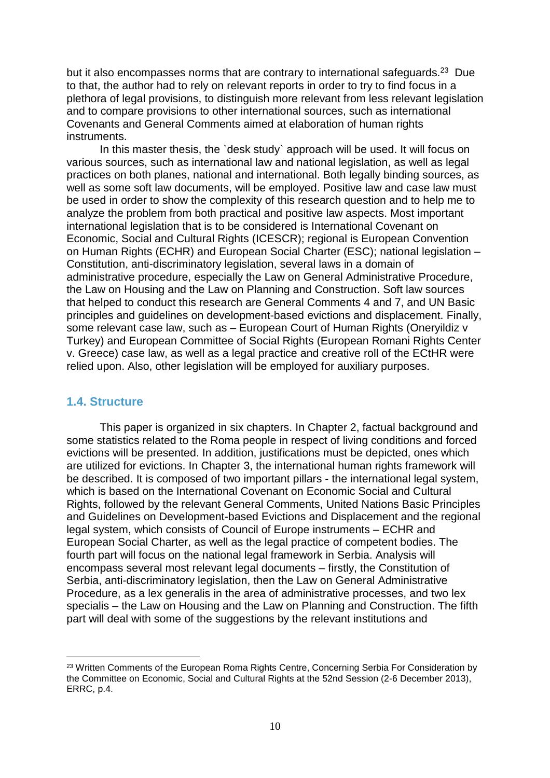but it also encompasses norms that are contrary to international safeguards. $^{23}$  Due to that, the author had to rely on relevant reports in order to try to find focus in a plethora of legal provisions, to distinguish more relevant from less relevant legislation and to compare provisions to other international sources, such as international Covenants and General Comments aimed at elaboration of human rights instruments.

In this master thesis, the `desk study` approach will be used. It will focus on various sources, such as international law and national legislation, as well as legal practices on both planes, national and international. Both legally binding sources, as well as some soft law documents, will be employed. Positive law and case law must be used in order to show the complexity of this research question and to help me to analyze the problem from both practical and positive law aspects. Most important international legislation that is to be considered is International Covenant on Economic, Social and Cultural Rights (ICESCR); regional is European Convention on Human Rights (ECHR) and European Social Charter (ESC); national legislation – Constitution, anti-discriminatory legislation, several laws in a domain of administrative procedure, especially the Law on General Administrative Procedure, the Law on Housing and the Law on Planning and Construction. Soft law sources that helped to conduct this research are General Comments 4 and 7, and UN Basic principles and guidelines on development-based evictions and displacement. Finally, some relevant case law, such as – European Court of Human Rights (Oneryildiz v Turkey) and European Committee of Social Rights (European Romani Rights Center v. Greece) case law, as well as a legal practice and creative roll of the ECtHR were relied upon. Also, other legislation will be employed for auxiliary purposes.

#### <span id="page-9-0"></span>**1.4. Structure**

 $\overline{a}$ 

This paper is organized in six chapters. In Chapter 2, factual background and some statistics related to the Roma people in respect of living conditions and forced evictions will be presented. In addition, justifications must be depicted, ones which are utilized for evictions. In Chapter 3, the international human rights framework will be described. It is composed of two important pillars - the international legal system, which is based on the International Covenant on Economic Social and Cultural Rights, followed by the relevant General Comments, United Nations Basic Principles and Guidelines on Development-based Evictions and Displacement and the regional legal system, which consists of Council of Europe instruments – ECHR and European Social Charter, as well as the legal practice of competent bodies. The fourth part will focus on the national legal framework in Serbia. Analysis will encompass several most relevant legal documents – firstly, the Constitution of Serbia, anti-discriminatory legislation, then the Law on General Administrative Procedure, as a lex generalis in the area of administrative processes, and two lex specialis – the Law on Housing and the Law on Planning and Construction. The fifth part will deal with some of the suggestions by the relevant institutions and

<sup>&</sup>lt;sup>23</sup> Written Comments of the European Roma Rights Centre, Concerning Serbia For Consideration by the Committee on Economic, Social and Cultural Rights at the 52nd Session (2-6 December 2013), ERRC, p.4.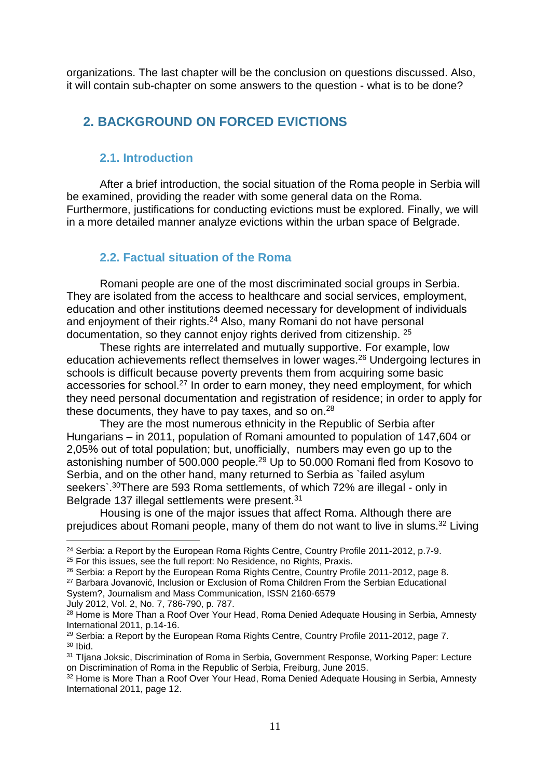<span id="page-10-0"></span>organizations. The last chapter will be the conclusion on questions discussed. Also, it will contain sub-chapter on some answers to the question - what is to be done?

# **2. BACKGROUND ON FORCED EVICTIONS**

#### <span id="page-10-1"></span>**2.1. Introduction**

After a brief introduction, the social situation of the Roma people in Serbia will be examined, providing the reader with some general data on the Roma. Furthermore, justifications for conducting evictions must be explored. Finally, we will in a more detailed manner analyze evictions within the urban space of Belgrade.

#### <span id="page-10-2"></span>**2.2. Factual situation of the Roma**

Romani people are one of the most discriminated social groups in Serbia. They are isolated from the access to healthcare and social services, employment, education and other institutions deemed necessary for development of individuals and enjoyment of their rights.<sup>24</sup> Also, many Romani do not have personal documentation, so they cannot enjoy rights derived from citizenship. <sup>25</sup>

These rights are interrelated and mutually supportive. For example, low education achievements reflect themselves in lower wages.<sup>26</sup> Undergoing lectures in schools is difficult because poverty prevents them from acquiring some basic accessories for school.<sup>27</sup> In order to earn money, they need employment, for which they need personal documentation and registration of residence; in order to apply for these documents, they have to pay taxes, and so on.<sup>28</sup>

They are the most numerous ethnicity in the Republic of Serbia after Hungarians – in 2011, population of Romani amounted to population of 147,604 or 2,05% out of total population; but, unofficially, numbers may even go up to the astonishing number of 500.000 people.<sup>29</sup> Up to 50.000 Romani fled from Kosovo to Serbia, and on the other hand, many returned to Serbia as `failed asylum seekers`.<sup>30</sup>There are 593 Roma settlements, of which 72% are illegal - only in Belgrade 137 illegal settlements were present.<sup>31</sup>

Housing is one of the major issues that affect Roma. Although there are prejudices about Romani people, many of them do not want to live in slums.<sup>32</sup> Living

System?, Journalism and Mass Communication, ISSN 2160-6579

July 2012, Vol. 2, No. 7, 786-790, p. 787.

 $\overline{a}$ <sup>24</sup> Serbia: a Report by the European Roma Rights Centre, Country Profile 2011-2012, p.7-9.

<sup>&</sup>lt;sup>25</sup> For this issues, see the full report: No Residence, no Rights, Praxis.

<sup>26</sup> Serbia: a Report by the European Roma Rights Centre, Country Profile 2011-2012, page 8. <sup>27</sup> Barbara Jovanović, Inclusion or Exclusion of Roma Children From the Serbian Educational

<sup>&</sup>lt;sup>28</sup> Home is More Than a Roof Over Your Head, Roma Denied Adequate Housing in Serbia, Amnesty International 2011, p.14-16.

<sup>&</sup>lt;sup>29</sup> Serbia: a Report by the European Roma Rights Centre, Country Profile 2011-2012, page 7. <sup>30</sup> Ibid.

<sup>&</sup>lt;sup>31</sup> Tljana Joksic, Discrimination of Roma in Serbia, Government Response, Working Paper: Lecture on Discrimination of Roma in the Republic of Serbia, Freiburg, June 2015.

<sup>32</sup> Home is More Than a Roof Over Your Head, Roma Denied Adequate Housing in Serbia, Amnesty International 2011, page 12.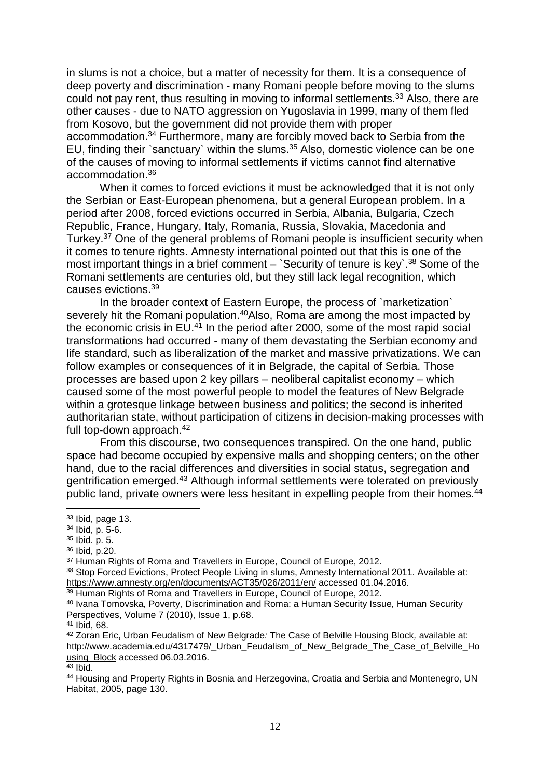in slums is not a choice, but a matter of necessity for them. It is a consequence of deep poverty and discrimination - many Romani people before moving to the slums could not pay rent, thus resulting in moving to informal settlements.<sup>33</sup> Also, there are other causes - due to NATO aggression on Yugoslavia in 1999, many of them fled from Kosovo, but the government did not provide them with proper accommodation.<sup>34</sup> Furthermore, many are forcibly moved back to Serbia from the EU, finding their `sanctuary` within the slums.<sup>35</sup> Also, domestic violence can be one of the causes of moving to informal settlements if victims cannot find alternative accommodation.<sup>36</sup>

When it comes to forced evictions it must be acknowledged that it is not only the Serbian or East-European phenomena, but a general European problem. In a period after 2008, forced evictions occurred in Serbia, Albania, Bulgaria, Czech Republic, France, Hungary, Italy, Romania, Russia, Slovakia, Macedonia and Turkey.<sup>37</sup> One of the general problems of Romani people is insufficient security when it comes to tenure rights. Amnesty international pointed out that this is one of the most important things in a brief comment  $-$  Security of tenure is key  $38$  Some of the Romani settlements are centuries old, but they still lack legal recognition, which causes evictions.<sup>39</sup>

In the broader context of Eastern Europe, the process of `marketization` severely hit the Romani population.<sup>40</sup>Also, Roma are among the most impacted by the economic crisis in EU.<sup>41</sup> In the period after 2000, some of the most rapid social transformations had occurred - many of them devastating the Serbian economy and life standard, such as liberalization of the market and massive privatizations. We can follow examples or consequences of it in Belgrade, the capital of Serbia. Those processes are based upon 2 key pillars – neoliberal capitalist economy – which caused some of the most powerful people to model the features of New Belgrade within a grotesque linkage between business and politics; the second is inherited authoritarian state, without participation of citizens in decision-making processes with full top-down approach.<sup>42</sup>

From this discourse, two consequences transpired. On the one hand, public space had become occupied by expensive malls and shopping centers; on the other hand, due to the racial differences and diversities in social status, segregation and gentrification emerged.<sup>43</sup> Although informal settlements were tolerated on previously public land, private owners were less hesitant in expelling people from their homes.<sup>44</sup>

 $\overline{a}$ 

<sup>36</sup> Ibid, p.20.

<sup>39</sup> Human Rights of Roma and Travellers in Europe, Council of Europe, 2012.

<sup>41</sup> Ibid, 68.

<sup>33</sup> Ibid, page 13.

<sup>34</sup> Ibid, p. 5-6.

<sup>35</sup> Ibid. p. 5.

<sup>&</sup>lt;sup>37</sup> Human Rights of Roma and Travellers in Europe, Council of Europe, 2012.

<sup>38</sup> Stop Forced Evictions, Protect People Living in slums, Amnesty International 2011. Available at: <https://www.amnesty.org/en/documents/ACT35/026/2011/en/> accessed 01.04.2016.

<sup>40</sup> Ivana Tomovska*,* Poverty, Discrimination and Roma: a Human Security Issue*,* Human Security Perspectives, Volume 7 (2010), Issue 1, p.68.

<sup>42</sup> Zoran Eric, Urban Feudalism of New Belgrade*:* The Case of Belville Housing Block*,* available at: http://www.academia.edu/4317479/ Urban\_Feudalism\_of\_New\_Belgrade\_The\_Case\_of\_Belville\_Ho [using\\_Block](http://www.academia.edu/4317479/_Urban_Feudalism_of_New_Belgrade_The_Case_of_Belville_Housing_Block) accessed 06.03.2016.

<sup>43</sup> Ibid.

<sup>44</sup> Housing and Property Rights in Bosnia and Herzegovina, Croatia and Serbia and Montenegro, UN Habitat, 2005, page 130.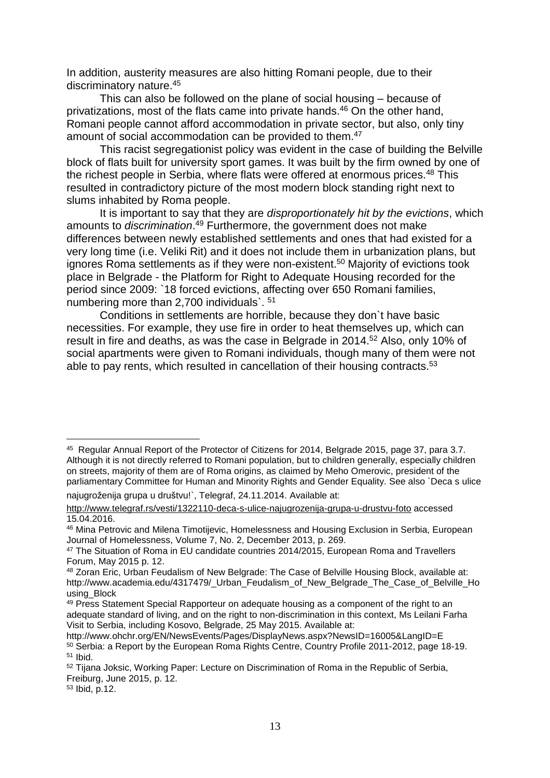In addition, austerity measures are also hitting Romani people, due to their discriminatory nature.<sup>45</sup>

This can also be followed on the plane of social housing – because of privatizations, most of the flats came into private hands.<sup>46</sup> On the other hand, Romani people cannot afford accommodation in private sector, but also, only tiny amount of social accommodation can be provided to them.<sup>47</sup>

This racist segregationist policy was evident in the case of building the Belville block of flats built for university sport games. It was built by the firm owned by one of the richest people in Serbia, where flats were offered at enormous prices.<sup>48</sup> This resulted in contradictory picture of the most modern block standing right next to slums inhabited by Roma people.

It is important to say that they are *disproportionately hit by the evictions*, which amounts to *discrimination*. <sup>49</sup> Furthermore, the government does not make differences between newly established settlements and ones that had existed for a very long time (i.e. Veliki Rit) and it does not include them in urbanization plans, but ignores Roma settlements as if they were non-existent. <sup>50</sup> Majority of evictions took place in Belgrade - the Platform for Right to Adequate Housing recorded for the period since 2009: `18 forced evictions, affecting over 650 Romani families, numbering more than 2,700 individuals`. <sup>51</sup>

Conditions in settlements are horrible, because they don`t have basic necessities. For example, they use fire in order to heat themselves up, which can result in fire and deaths, as was the case in Belgrade in 2014.<sup>52</sup> Also, only 10% of social apartments were given to Romani individuals, though many of them were not able to pay rents, which resulted in cancellation of their housing contracts.<sup>53</sup>

najugroženija grupa u društvu!`, Telegraf, 24.11.2014. Available at:

 $\overline{a}$ <sup>45</sup> Regular Annual Report of the Protector of Citizens for 2014, Belgrade 2015, page 37, para 3.7. Although it is not directly referred to Romani population, but to children generally, especially children on streets, majority of them are of Roma origins, as claimed by Meho Omerovic, president of the parliamentary Committee for Human and Minority Rights and Gender Equality. See also `Deca s ulice

<http://www.telegraf.rs/vesti/1322110-deca-s-ulice-najugrozenija-grupa-u-drustvu-foto> accessed 15.04.2016.

<sup>46</sup> Mina Petrovic and Milena Timotijevic, Homelessness and Housing Exclusion in Serbia, European Journal of Homelessness, Volume 7, No. 2, December 2013, p. 269.

<sup>47</sup> The Situation of Roma in EU candidate countries 2014/2015, European Roma and Travellers Forum, May 2015 p. 12.

<sup>48</sup> Zoran Eric, Urban Feudalism of New Belgrade: The Case of Belville Housing Block, available at: http://www.academia.edu/4317479/ Urban\_Feudalism\_of\_New\_Belgrade\_The\_Case\_of\_Belville\_Ho using\_Block

<sup>&</sup>lt;sup>49</sup> Press Statement Special Rapporteur on adequate housing as a component of the right to an adequate standard of living, and on the right to non-discrimination in this context. Ms Leilani Farha Visit to Serbia, including Kosovo, Belgrade, 25 May 2015. Available at:

http://www.ohchr.org/EN/NewsEvents/Pages/DisplayNews.aspx?NewsID=16005&LangID=E <sup>50</sup> Serbia: a Report by the European Roma Rights Centre, Country Profile 2011-2012, page 18-19. <sup>51</sup> Ibid.

<sup>&</sup>lt;sup>52</sup> Tijana Joksic, Working Paper: Lecture on Discrimination of Roma in the Republic of Serbia, Freiburg, June 2015, p. 12.

<sup>53</sup> Ibid, p.12.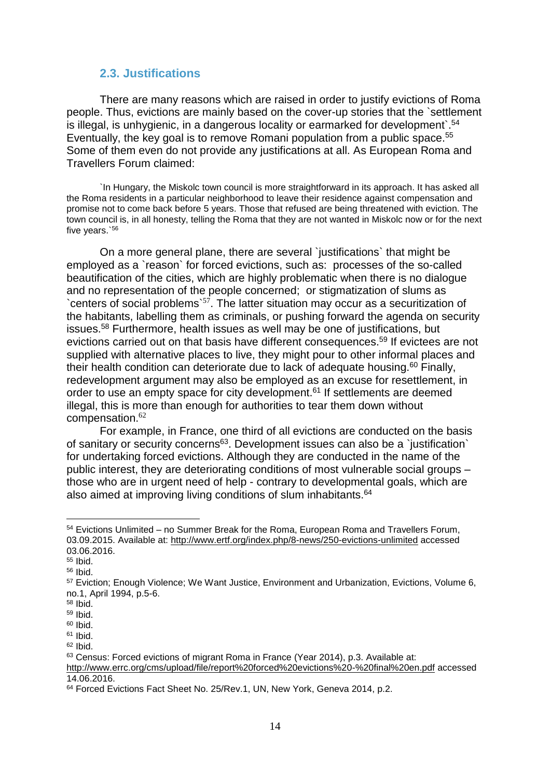#### <span id="page-13-0"></span>**2.3. Justifications**

There are many reasons which are raised in order to justify evictions of Roma people. Thus, evictions are mainly based on the cover-up stories that the `settlement is illegal, is unhygienic, in a dangerous locality or earmarked for development<sup>54</sup> Eventually, the key goal is to remove Romani population from a public space.<sup>55</sup> Some of them even do not provide any justifications at all. As European Roma and Travellers Forum claimed:

`In Hungary, the Miskolc town council is more straightforward in its approach. It has asked all the Roma residents in a particular neighborhood to leave their residence against compensation and promise not to come back before 5 years. Those that refused are being threatened with eviction. The town council is, in all honesty, telling the Roma that they are not wanted in Miskolc now or for the next five years.`<sup>56</sup>

On a more general plane, there are several `justifications*`* that might be employed as a `reason` for forced evictions, such as: processes of the so-called beautification of the cities, which are highly problematic when there is no dialogue and no representation of the people concerned; or stigmatization of slums as `centers of social problems`<sup>57</sup>. The latter situation may occur as a securitization of the habitants, labelling them as criminals, or pushing forward the agenda on security issues.<sup>58</sup> Furthermore, health issues as well may be one of justifications, but evictions carried out on that basis have different consequences.<sup>59</sup> If evictees are not supplied with alternative places to live, they might pour to other informal places and their health condition can deteriorate due to lack of adequate housing.<sup>60</sup> Finally, redevelopment argument may also be employed as an excuse for resettlement, in order to use an empty space for city development.<sup>61</sup> If settlements are deemed illegal, this is more than enough for authorities to tear them down without compensation.<sup>62</sup>

For example, in France, one third of all evictions are conducted on the basis of sanitary or security concerns<sup>63</sup>. Development issues can also be a `justification` for undertaking forced evictions. Although they are conducted in the name of the public interest, they are deteriorating conditions of most vulnerable social groups – those who are in urgent need of help - contrary to developmental goals, which are also aimed at improving living conditions of slum inhabitants.<sup>64</sup>

<sup>54</sup> Evictions Unlimited – no Summer Break for the Roma, European Roma and Travellers Forum, 03.09.2015. Available at: <http://www.ertf.org/index.php/8-news/250-evictions-unlimited> accessed 03.06.2016.

<sup>55</sup> Ibid.

<sup>56</sup> Ibid.

<sup>57</sup> Eviction; Enough Violence; We Want Justice, Environment and Urbanization, Evictions, Volume 6, no.1, April 1994, p.5-6.

<sup>58</sup> Ibid.

<sup>59</sup> Ibid.

<sup>60</sup> Ibid.

 $61$  Ibid.

 $62$  Ibid.

<sup>63</sup> Census: Forced evictions of migrant Roma in France (Year 2014), p.3. Available at:

<http://www.errc.org/cms/upload/file/report%20forced%20evictions%20-%20final%20en.pdf> accessed 14.06.2016.

<sup>&</sup>lt;sup>64</sup> Forced Evictions Fact Sheet No. 25/Rev.1, UN, New York, Geneva 2014, p.2.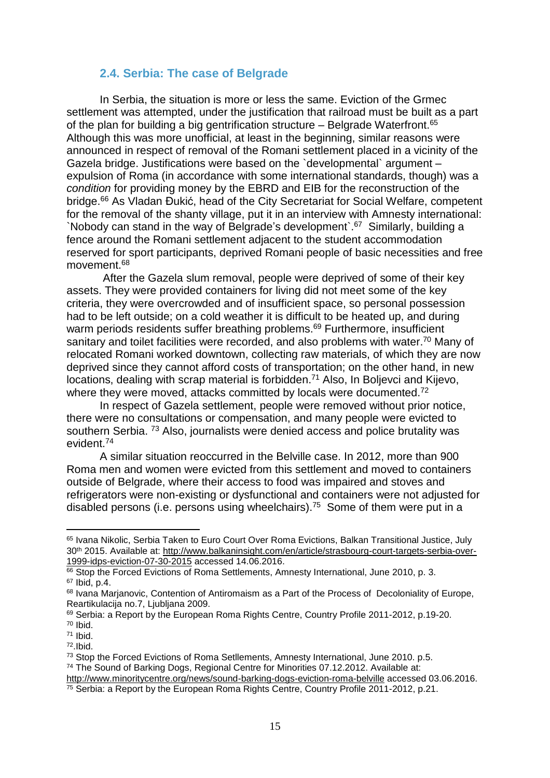#### <span id="page-14-0"></span>**2.4. Serbia: The case of Belgrade**

In Serbia, the situation is more or less the same. Eviction of the Grmec settlement was attempted, under the justification that railroad must be built as a part of the plan for building a big gentrification structure  $-$  Belgrade Waterfront.<sup>65</sup> Although this was more unofficial, at least in the beginning, similar reasons were announced in respect of removal of the Romani settlement placed in a vicinity of the Gazela bridge. Justifications were based on the `developmental` argument – expulsion of Roma (in accordance with some international standards, though) was a *condition* for providing money by the EBRD and EIB for the reconstruction of the bridge.<sup>66</sup> As Vladan Đukić, head of the City Secretariat for Social Welfare, competent for the removal of the shanty village, put it in an interview with Amnesty international: `Nobody can stand in the way of Belgrade's development`.<sup>67</sup> Similarly, building a fence around the Romani settlement adjacent to the student accommodation reserved for sport participants, deprived Romani people of basic necessities and free movement.<sup>68</sup>

After the Gazela slum removal, people were deprived of some of their key assets. They were provided containers for living did not meet some of the key criteria, they were overcrowded and of insufficient space, so personal possession had to be left outside; on a cold weather it is difficult to be heated up, and during warm periods residents suffer breathing problems.<sup>69</sup> Furthermore, insufficient sanitary and toilet facilities were recorded, and also problems with water.<sup>70</sup> Many of relocated Romani worked downtown, collecting raw materials, of which they are now deprived since they cannot afford costs of transportation; on the other hand, in new locations, dealing with scrap material is forbidden.<sup>71</sup> Also, In Boljevci and Kijevo, where they were moved, attacks committed by locals were documented.<sup>72</sup>

In respect of Gazela settlement, people were removed without prior notice, there were no consultations or compensation, and many people were evicted to southern Serbia. <sup>73</sup> Also, journalists were denied access and police brutality was evident.<sup>74</sup>

A similar situation reoccurred in the Belville case. In 2012, more than 900 Roma men and women were evicted from this settlement and moved to containers outside of Belgrade, where their access to food was impaired and stoves and refrigerators were non-existing or dysfunctional and containers were not adjusted for disabled persons (i.e. persons using wheelchairs).<sup>75</sup> Some of them were put in a

<sup>65</sup> Ivana Nikolic, Serbia Taken to Euro Court Over Roma Evictions, Balkan Transitional Justice, July 30th 2015. Available at: [http://www.balkaninsight.com/en/article/strasbourg-court-targets-serbia-over-](http://www.balkaninsight.com/en/article/strasbourg-court-targets-serbia-over-1999-idps-eviction-07-30-2015)[1999-idps-eviction-07-30-2015](http://www.balkaninsight.com/en/article/strasbourg-court-targets-serbia-over-1999-idps-eviction-07-30-2015) accessed 14.06.2016.

<sup>66</sup> Stop the Forced Evictions of Roma Settlements, Amnesty International, June 2010, p. 3. <sup>67</sup> Ibid, p.4.

<sup>&</sup>lt;sup>68</sup> Ivana Marjanovic, Contention of Antiromaism as a Part of the Process of Decoloniality of Europe, Reartikulacija no.7, Ljubljana 2009.

<sup>69</sup> Serbia: a Report by the European Roma Rights Centre, Country Profile 2011-2012, p.19-20. <sup>70</sup> Ibid.

<sup>71</sup> Ibid.

<sup>72</sup>.Ibid.

<sup>73</sup> Stop the Forced Evictions of Roma Setllements, Amnesty International, June 2010. p.5.

<sup>74</sup> The Sound of Barking Dogs, Regional Centre for Minorities 07.12.2012. Available at:

<http://www.minoritycentre.org/news/sound-barking-dogs-eviction-roma-belville> accessed 03.06.2016.

<sup>&</sup>lt;sup>75</sup> Serbia: a Report by the European Roma Rights Centre, Country Profile 2011-2012, p.21.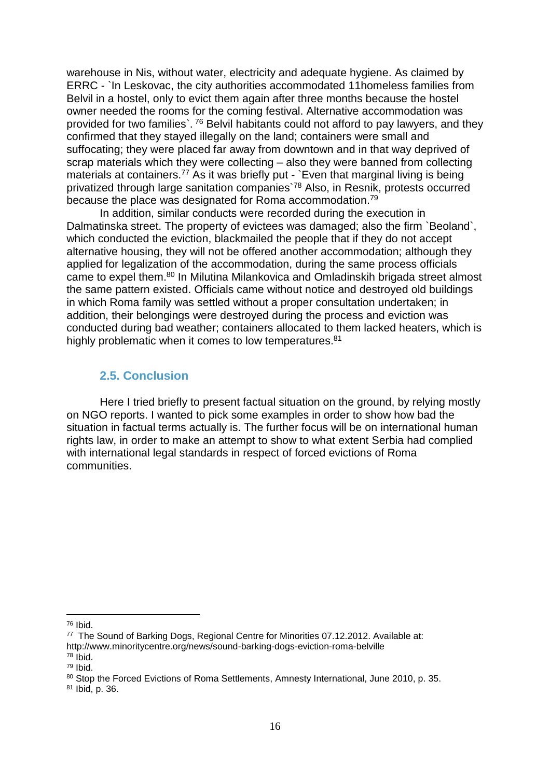warehouse in Nis, without water, electricity and adequate hygiene. As claimed by ERRC - `In Leskovac, the city authorities accommodated 11homeless families from Belvil in a hostel, only to evict them again after three months because the hostel owner needed the rooms for the coming festival. Alternative accommodation was provided for two families`. <sup>76</sup> Belvil habitants could not afford to pay lawyers, and they confirmed that they stayed illegally on the land; containers were small and suffocating; they were placed far away from downtown and in that way deprived of scrap materials which they were collecting – also they were banned from collecting materials at containers.<sup>77</sup> As it was briefly put - `Even that marginal living is being privatized through large sanitation companies`<sup>78</sup> Also, in Resnik, protests occurred because the place was designated for Roma accommodation.<sup>79</sup>

In addition, similar conducts were recorded during the execution in Dalmatinska street. The property of evictees was damaged; also the firm `Beoland`, which conducted the eviction, blackmailed the people that if they do not accept alternative housing, they will not be offered another accommodation; although they applied for legalization of the accommodation, during the same process officials came to expel them.<sup>80</sup> In Milutina Milankovica and Omladinskih brigada street almost the same pattern existed. Officials came without notice and destroyed old buildings in which Roma family was settled without a proper consultation undertaken; in addition, their belongings were destroyed during the process and eviction was conducted during bad weather; containers allocated to them lacked heaters, which is highly problematic when it comes to low temperatures.<sup>81</sup>

#### <span id="page-15-0"></span>**2.5. Conclusion**

Here I tried briefly to present factual situation on the ground, by relying mostly on NGO reports. I wanted to pick some examples in order to show how bad the situation in factual terms actually is. The further focus will be on international human rights law, in order to make an attempt to show to what extent Serbia had complied with international legal standards in respect of forced evictions of Roma communities.

<sup>76</sup> Ibid.

<sup>77</sup> The Sound of Barking Dogs, Regional Centre for Minorities 07.12.2012. Available at: http://www.minoritycentre.org/news/sound-barking-dogs-eviction-roma-belville

<sup>78</sup> Ibid.

<sup>79</sup> Ibid.

<sup>80</sup> Stop the Forced Evictions of Roma Settlements, Amnesty International, June 2010, p. 35.

<sup>81</sup> Ibid, p. 36.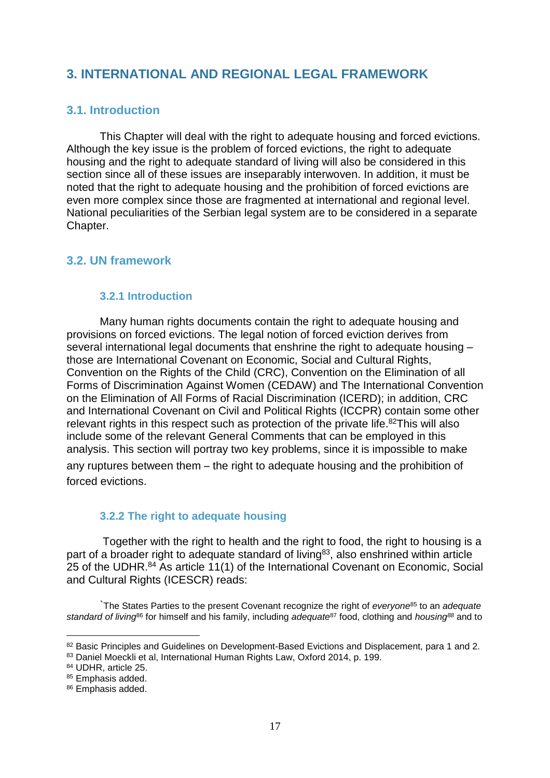# <span id="page-16-0"></span>**3. INTERNATIONAL AND REGIONAL LEGAL FRAMEWORK**

#### <span id="page-16-1"></span>**3.1. Introduction**

This Chapter will deal with the right to adequate housing and forced evictions. Although the key issue is the problem of forced evictions, the right to adequate housing and the right to adequate standard of living will also be considered in this section since all of these issues are inseparably interwoven. In addition, it must be noted that the right to adequate housing and the prohibition of forced evictions are even more complex since those are fragmented at international and regional level. National peculiarities of the Serbian legal system are to be considered in a separate Chapter.

#### <span id="page-16-2"></span>**3.2. UN framework**

#### <span id="page-16-3"></span>**3.2.1 Introduction**

Many human rights documents contain the right to adequate housing and provisions on forced evictions. The legal notion of forced eviction derives from several international legal documents that enshrine the right to adequate housing – those are International Covenant on Economic, Social and Cultural Rights, Convention on the Rights of the Child (CRC), Convention on the Elimination of all Forms of Discrimination Against Women (CEDAW) and The International Convention on the Elimination of All Forms of Racial Discrimination (ICERD); in addition, CRC and International Covenant on Civil and Political Rights (ICCPR) contain some other relevant rights in this respect such as protection of the private life.<sup>82</sup>This will also include some of the relevant General Comments that can be employed in this analysis. This section will portray two key problems, since it is impossible to make any ruptures between them – the right to adequate housing and the prohibition of forced evictions.

#### <span id="page-16-4"></span>**3.2.2 The right to adequate housing**

Together with the right to health and the right to food, the right to housing is a part of a broader right to adequate standard of living<sup>83</sup>, also enshrined within article 25 of the UDHR.<sup>84</sup> As article 11(1) of the International Covenant on Economic, Social and Cultural Rights (ICESCR) reads:

`The States Parties to the present Covenant recognize the right of *everyone*<sup>85</sup> to an *adequate standard of living*<sup>86</sup> for himself and his family, including *adequate*<sup>87</sup> food, clothing and *housing<sup>88</sup>* and to

<sup>82</sup> Basic Principles and Guidelines on Development-Based Evictions and Displacement, para 1 and 2.

<sup>83</sup> Daniel Moeckli et al, International Human Rights Law, Oxford 2014, p. 199.

<sup>84</sup> UDHR, article 25.

<sup>85</sup> Emphasis added.

<sup>86</sup> Emphasis added.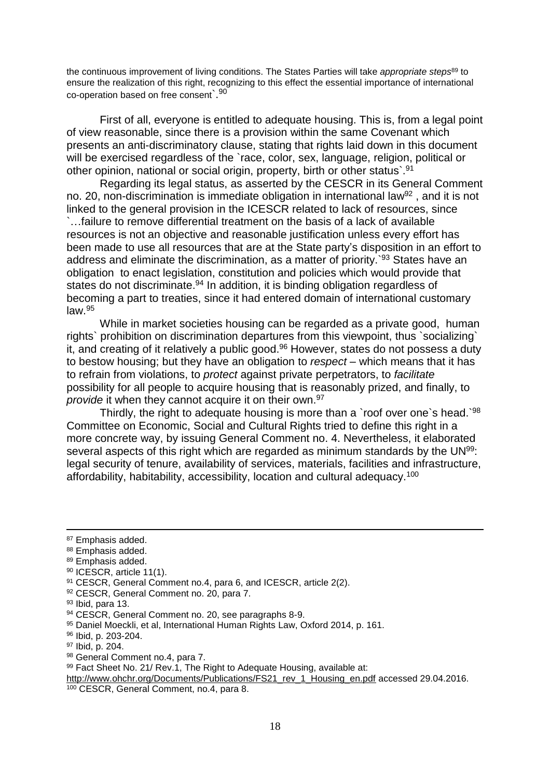the continuous improvement of living conditions. The States Parties will take *appropriate steps*<sup>89</sup> to ensure the realization of this right, recognizing to this effect the essential importance of international co-operation based on free consent`.<sup>90</sup>

First of all, everyone is entitled to adequate housing. This is, from a legal point of view reasonable, since there is a provision within the same Covenant which presents an anti-discriminatory clause, stating that rights laid down in this document will be exercised regardless of the `race, color, sex, language, religion, political or other opinion, national or social origin, property, birth or other status`.<sup>91</sup>

Regarding its legal status, as asserted by the CESCR in its General Comment no. 20, non-discrimination is immediate obligation in international law<sup>92</sup> , and it is not linked to the general provision in the ICESCR related to lack of resources, since `…failure to remove differential treatment on the basis of a lack of available resources is not an objective and reasonable justification unless every effort has been made to use all resources that are at the State party's disposition in an effort to address and eliminate the discrimination, as a matter of priority.`<sup>93</sup> States have an obligation to enact legislation, constitution and policies which would provide that states do not discriminate.<sup>94</sup> In addition, it is binding obligation regardless of becoming a part to treaties, since it had entered domain of international customary law.<sup>95</sup>

While in market societies housing can be regarded as a private good, human rights` prohibition on discrimination departures from this viewpoint, thus `socializing` it, and creating of it relatively a public good.<sup>96</sup> However, states do not possess a duty to bestow housing; but they have an obligation to *respect* – which means that it has to refrain from violations, to *protect* against private perpetrators, to *facilitate* possibility for all people to acquire housing that is reasonably prized, and finally, to *provide* it when they cannot acquire it on their own.<sup>97</sup>

Thirdly, the right to adequate housing is more than a 'roof over one's head.<sup>98</sup> Committee on Economic, Social and Cultural Rights tried to define this right in a more concrete way, by issuing General Comment no. 4. Nevertheless, it elaborated several aspects of this right which are regarded as minimum standards by the UN<sup>99</sup>: legal security of tenure, availability of services, materials, facilities and infrastructure, affordability, habitability, accessibility, location and cultural adequacy.<sup>100</sup>

 $\overline{a}$ 

- 88 Emphasis added.
- 89 Emphasis added.

92 CESCR, General Comment no. 20, para 7.

98 General Comment no.4, para 7.

<sup>87</sup> Emphasis added.

<sup>90</sup> ICESCR, article 11(1).

<sup>91</sup> CESCR, General Comment no.4, para 6, and ICESCR, article 2(2).

<sup>93</sup> Ibid, para 13.

<sup>94</sup> CESCR, General Comment no. 20, see paragraphs 8-9.

<sup>95</sup> Daniel Moeckli, et al, International Human Rights Law, Oxford 2014, p. 161.

<sup>96</sup> Ibid, p. 203-204.

<sup>97</sup> Ibid, p. 204.

<sup>99</sup> Fact Sheet No. 21/ Rev.1, The Right to Adequate Housing, available at:

[http://www.ohchr.org/Documents/Publications/FS21\\_rev\\_1\\_Housing\\_en.pdf](http://www.ohchr.org/Documents/Publications/FS21_rev_1_Housing_en.pdf) accessed 29.04.2016. <sup>100</sup> CESCR, General Comment, no.4, para 8.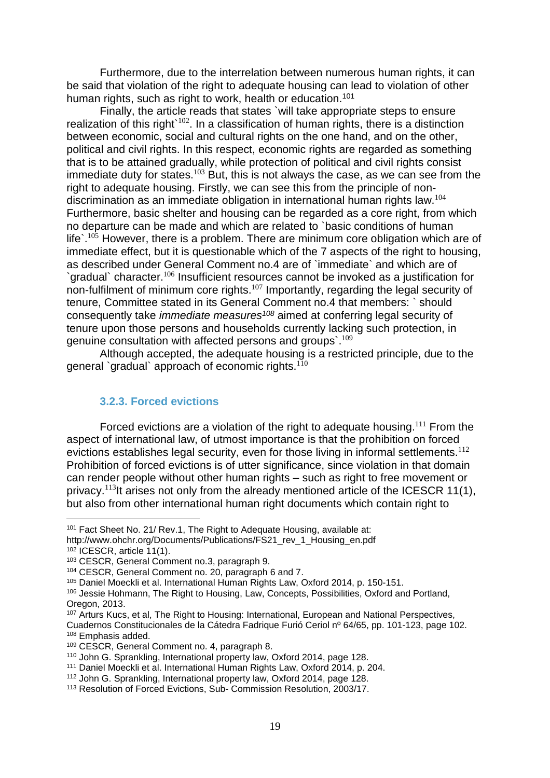Furthermore, due to the interrelation between numerous human rights, it can be said that violation of the right to adequate housing can lead to violation of other human rights, such as right to work, health or education.<sup>101</sup>

Finally, the article reads that states `will take appropriate steps to ensure realization of this right` $^{102}$ . In a classification of human rights, there is a distinction between economic, social and cultural rights on the one hand, and on the other, political and civil rights. In this respect, economic rights are regarded as something that is to be attained gradually, while protection of political and civil rights consist immediate duty for states.<sup>103</sup> But, this is not always the case, as we can see from the right to adequate housing. Firstly, we can see this from the principle of nondiscrimination as an immediate obligation in international human rights law.<sup>104</sup> Furthermore, basic shelter and housing can be regarded as a core right, from which no departure can be made and which are related to `basic conditions of human life).<sup>105</sup> However, there is a problem. There are minimum core obligation which are of immediate effect, but it is questionable which of the 7 aspects of the right to housing, as described under General Comment no.4 are of `immediate` and which are of `gradual` character.<sup>106</sup> Insufficient resources cannot be invoked as a justification for non-fulfilment of minimum core rights.<sup>107</sup> Importantly, regarding the legal security of tenure, Committee stated in its General Comment no.4 that members: ` should consequently take *immediate measures<sup>108</sup>* aimed at conferring legal security of tenure upon those persons and households currently lacking such protection, in genuine consultation with affected persons and groups`.<sup>109</sup>

Although accepted, the adequate housing is a restricted principle, due to the general `gradual` approach of economic rights.<sup>110</sup>

#### <span id="page-18-0"></span>**3.2.3. Forced evictions**

Forced evictions are a violation of the right to adequate housing.<sup>111</sup> From the aspect of international law, of utmost importance is that the prohibition on forced evictions establishes legal security, even for those living in informal settlements.<sup>112</sup> Prohibition of forced evictions is of utter significance, since violation in that domain can render people without other human rights – such as right to free movement or privacy.<sup>113</sup>It arises not only from the already mentioned article of the ICESCR 11(1), but also from other international human right documents which contain right to

<sup>&</sup>lt;sup>101</sup> Fact Sheet No. 21/ Rev.1, The Right to Adequate Housing, available at: http://www.ohchr.org/Documents/Publications/FS21\_rev\_1\_Housing\_en.pdf <sup>102</sup> ICESCR, article 11(1).

<sup>103</sup> CESCR, General Comment no.3, paragraph 9.

<sup>104</sup> CESCR, General Comment no. 20, paragraph 6 and 7.

<sup>105</sup> Daniel Moeckli et al. International Human Rights Law, Oxford 2014, p. 150-151.

<sup>106</sup> Jessie Hohmann, The Right to Housing, Law, Concepts, Possibilities, Oxford and Portland, Oregon, 2013.

<sup>107</sup> Arturs Kucs, et al, The Right to Housing: International, European and National Perspectives, Cuadernos Constitucionales de la Cátedra Fadrique Furió Ceriol nº 64/65, pp. 101-123, page 102. <sup>108</sup> Emphasis added.

<sup>109</sup> CESCR, General Comment no. 4, paragraph 8.

<sup>110</sup> John G. Sprankling, International property law, Oxford 2014, page 128.

<sup>111</sup> Daniel Moeckli et al. International Human Rights Law, Oxford 2014, p. 204.

<sup>112</sup> John G. Sprankling, International property law, Oxford 2014, page 128.

<sup>113</sup> Resolution of Forced Evictions, Sub- Commission Resolution, 2003/17.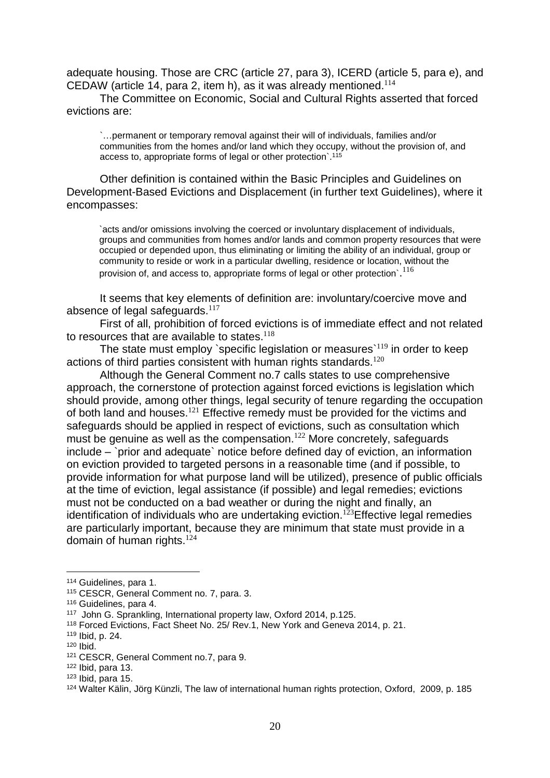adequate housing. Those are CRC (article 27, para 3), ICERD (article 5, para e), and CEDAW (article 14, para 2, item h), as it was already mentioned. $114$ 

The Committee on Economic, Social and Cultural Rights asserted that forced evictions are:

`…permanent or temporary removal against their will of individuals, families and/or communities from the homes and/or land which they occupy, without the provision of, and access to, appropriate forms of legal or other protection`.<sup>115</sup>

Other definition is contained within the Basic Principles and Guidelines on Development-Based Evictions and Displacement (in further text Guidelines), where it encompasses:

`acts and/or omissions involving the coerced or involuntary displacement of individuals, groups and communities from homes and/or lands and common property resources that were occupied or depended upon, thus eliminating or limiting the ability of an individual, group or community to reside or work in a particular dwelling, residence or location, without the provision of, and access to, appropriate forms of legal or other protection`. $^{116}$ 

It seems that key elements of definition are: involuntary/coercive move and absence of legal safeguards. $117$ 

First of all, prohibition of forced evictions is of immediate effect and not related to resources that are available to states. $118$ 

The state must employ `specific legislation or measures  $119$  in order to keep actions of third parties consistent with human rights standards.<sup>120</sup>

Although the General Comment no.7 calls states to use comprehensive approach, the cornerstone of protection against forced evictions is legislation which should provide, among other things, legal security of tenure regarding the occupation of both land and houses.<sup>121</sup> Effective remedy must be provided for the victims and safeguards should be applied in respect of evictions, such as consultation which must be genuine as well as the compensation.<sup>122</sup> More concretely, safeguards include – `prior and adequate` notice before defined day of eviction, an information on eviction provided to targeted persons in a reasonable time (and if possible, to provide information for what purpose land will be utilized), presence of public officials at the time of eviction, legal assistance (if possible) and legal remedies; evictions must not be conducted on a bad weather or during the night and finally, an identification of individuals who are undertaking eviction.<sup>123</sup> Effective legal remedies are particularly important, because they are minimum that state must provide in a domain of human rights.<sup>124</sup>

<sup>114</sup> Guidelines, para 1.

<sup>115</sup> CESCR, General Comment no. 7, para. 3.

<sup>116</sup> Guidelines, para 4.

<sup>117</sup> John G. Sprankling, International property law, Oxford 2014, p.125.

<sup>118</sup> Forced Evictions, Fact Sheet No. 25/ Rev.1, New York and Geneva 2014, p. 21.

<sup>119</sup> Ibid, p. 24.

<sup>120</sup> Ibid.

<sup>121</sup> CESCR, General Comment no.7, para 9.

 $122$  Ibid, para 13.

 $123$  Ibid, para 15.

<sup>124</sup> Walter Kälin, Jörg Künzli, The law of international human rights protection, Oxford, 2009, p. 185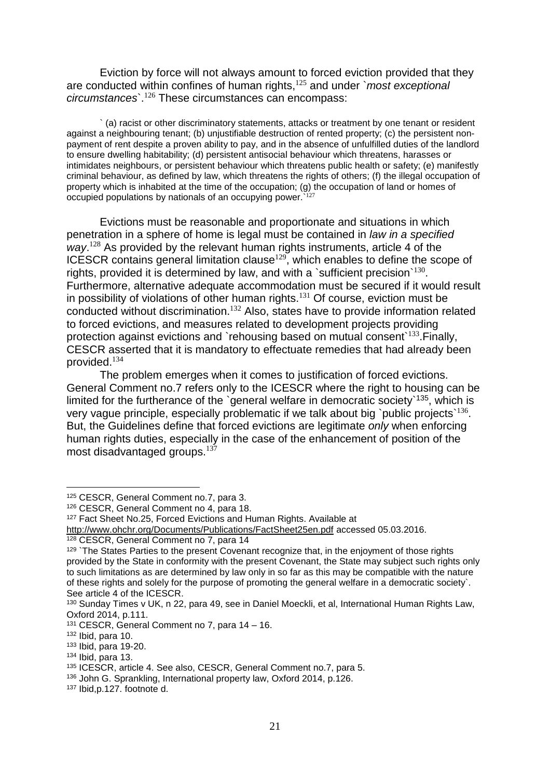Eviction by force will not always amount to forced eviction provided that they are conducted within confines of human rights,<sup>125</sup> and under `*most exceptional circumstances*`.<sup>126</sup> These circumstances can encompass:

` (a) racist or other discriminatory statements, attacks or treatment by one tenant or resident against a neighbouring tenant; (b) unjustifiable destruction of rented property; (c) the persistent nonpayment of rent despite a proven ability to pay, and in the absence of unfulfilled duties of the landlord to ensure dwelling habitability; (d) persistent antisocial behaviour which threatens, harasses or intimidates neighbours, or persistent behaviour which threatens public health or safety; (e) manifestly criminal behaviour, as defined by law, which threatens the rights of others; (f) the illegal occupation of property which is inhabited at the time of the occupation; (g) the occupation of land or homes of occupied populations by nationals of an occupying power.<sup>127</sup>

Evictions must be reasonable and proportionate and situations in which penetration in a sphere of home is legal must be contained in *law in a specified* way.<sup>128</sup> As provided by the relevant human rights instruments, article 4 of the ICESCR contains general limitation clause $^{129}$ , which enables to define the scope of rights, provided it is determined by law, and with a `sufficient precision` $^{130}$ . Furthermore, alternative adequate accommodation must be secured if it would result in possibility of violations of other human rights.<sup>131</sup> Of course, eviction must be conducted without discrimination.<sup>132</sup> Also, states have to provide information related to forced evictions, and measures related to development projects providing protection against evictions and `rehousing based on mutual consent`<sup>133</sup>.Finally, CESCR asserted that it is mandatory to effectuate remedies that had already been provided.<sup>134</sup>

The problem emerges when it comes to justification of forced evictions. General Comment no.7 refers only to the ICESCR where the right to housing can be limited for the furtherance of the `general welfare in democratic society`<sup>135</sup>, which is very vague principle, especially problematic if we talk about big `public projects`<sup>136</sup>. But, the Guidelines define that forced evictions are legitimate *only* when enforcing human rights duties, especially in the case of the enhancement of position of the most disadvantaged groups.<sup>137</sup>

<sup>125</sup> CESCR, General Comment no.7, para 3.

<sup>126</sup> CESCR, General Comment no 4, para 18.

<sup>&</sup>lt;sup>127</sup> Fact Sheet No.25, Forced Evictions and Human Rights. Available at

<http://www.ohchr.org/Documents/Publications/FactSheet25en.pdf> accessed 05.03.2016.

<sup>128</sup> CESCR, General Comment no 7, para 14

<sup>&</sup>lt;sup>129</sup> `The States Parties to the present Covenant recognize that, in the enjoyment of those rights provided by the State in conformity with the present Covenant, the State may subject such rights only to such limitations as are determined by law only in so far as this may be compatible with the nature of these rights and solely for the purpose of promoting the general welfare in a democratic society`. See article 4 of the ICESCR.

<sup>130</sup> Sunday Times v UK, n 22, para 49, see in Daniel Moeckli, et al, International Human Rights Law, Oxford 2014, p.111.

<sup>131</sup> CESCR, General Comment no 7, para 14 – 16.

 $132$  Ibid, para 10.

<sup>133</sup> Ibid, para 19-20.

 $134$  Ibid, para 13.

<sup>135</sup> ICESCR, article 4. See also, CESCR, General Comment no.7, para 5.

<sup>136</sup> John G. Sprankling, International property law, Oxford 2014, p.126.

<sup>137</sup> Ibid,p.127. footnote d.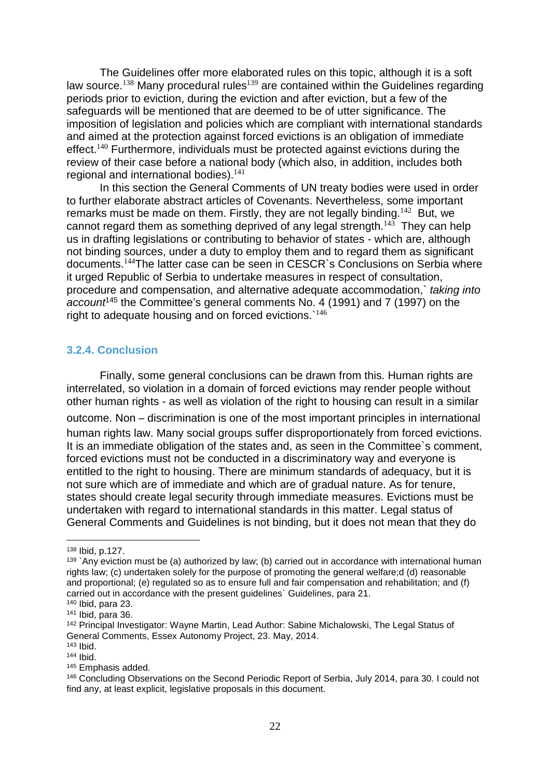The Guidelines offer more elaborated rules on this topic, although it is a soft law source.<sup>138</sup> Many procedural rules<sup>139</sup> are contained within the Guidelines regarding periods prior to eviction, during the eviction and after eviction, but a few of the safeguards will be mentioned that are deemed to be of utter significance. The imposition of legislation and policies which are compliant with international standards and aimed at the protection against forced evictions is an obligation of immediate effect.<sup>140</sup> Furthermore, individuals must be protected against evictions during the review of their case before a national body (which also, in addition, includes both regional and international bodies).<sup>141</sup>

In this section the General Comments of UN treaty bodies were used in order to further elaborate abstract articles of Covenants. Nevertheless, some important remarks must be made on them. Firstly, they are not legally binding. $^{142}$  But, we cannot regard them as something deprived of any legal strength. $^{143}$  They can help us in drafting legislations or contributing to behavior of states - which are, although not binding sources, under a duty to employ them and to regard them as significant documents.<sup>144</sup>The latter case can be seen in CESCR`s Conclusions on Serbia where it urged Republic of Serbia to undertake measures in respect of consultation, procedure and compensation, and alternative adequate accommodation,` *taking into account*<sup>145</sup> the Committee's general comments No. 4 (1991) and 7 (1997) on the right to adequate housing and on forced evictions.<sup>146</sup>

#### <span id="page-21-0"></span>**3.2.4. Conclusion**

Finally, some general conclusions can be drawn from this. Human rights are interrelated, so violation in a domain of forced evictions may render people without other human rights - as well as violation of the right to housing can result in a similar outcome. Non – discrimination is one of the most important principles in international human rights law. Many social groups suffer disproportionately from forced evictions. It is an immediate obligation of the states and, as seen in the Committee`s comment, forced evictions must not be conducted in a discriminatory way and everyone is entitled to the right to housing. There are minimum standards of adequacy, but it is not sure which are of immediate and which are of gradual nature. As for tenure, states should create legal security through immediate measures. Evictions must be undertaken with regard to international standards in this matter. Legal status of General Comments and Guidelines is not binding, but it does not mean that they do

<sup>138</sup> Ibid, p.127.

 $139$  `Any eviction must be (a) authorized by law; (b) carried out in accordance with international human rights law; (c) undertaken solely for the purpose of promoting the general welfare;d (d) reasonable and proportional; (e) regulated so as to ensure full and fair compensation and rehabilitation; and (f) carried out in accordance with the present guidelines` Guidelines, para 21.

<sup>140</sup> Ibid, para 23.

<sup>141</sup> Ibid, para 36.

<sup>&</sup>lt;sup>142</sup> Principal Investigator: Wayne Martin, Lead Author: Sabine Michalowski, The Legal Status of General Comments, Essex Autonomy Project, 23. May, 2014.

<sup>143</sup> Ibid.

<sup>144</sup> Ibid.

<sup>145</sup> Emphasis added.

<sup>146</sup> Concluding Observations on the Second Periodic Report of Serbia, July 2014, para 30. I could not find any, at least explicit, legislative proposals in this document.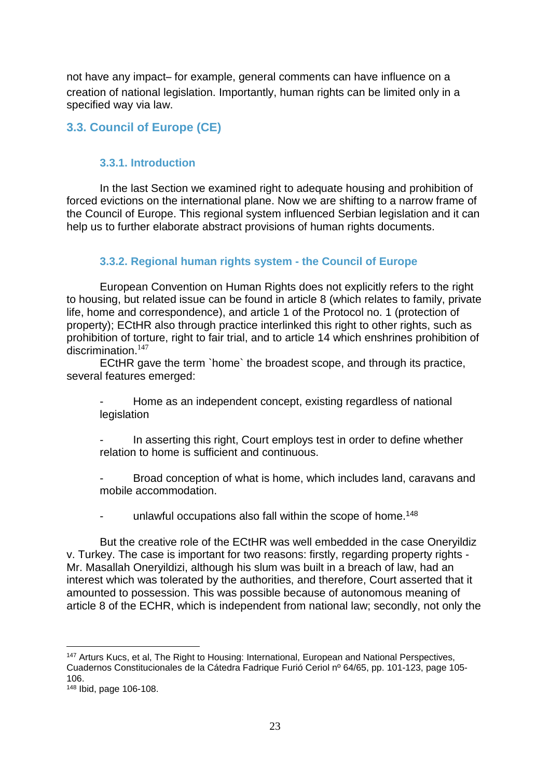not have any impact– for example, general comments can have influence on a creation of national legislation. Importantly, human rights can be limited only in a specified way via law.

# <span id="page-22-0"></span>**3.3. Council of Europe (CE)**

### <span id="page-22-1"></span>**3.3.1. Introduction**

In the last Section we examined right to adequate housing and prohibition of forced evictions on the international plane. Now we are shifting to a narrow frame of the Council of Europe. This regional system influenced Serbian legislation and it can help us to further elaborate abstract provisions of human rights documents.

#### <span id="page-22-2"></span>**3.3.2. Regional human rights system - the Council of Europe**

European Convention on Human Rights does not explicitly refers to the right to housing, but related issue can be found in article 8 (which relates to family, private life, home and correspondence), and article 1 of the Protocol no. 1 (protection of property); ECtHR also through practice interlinked this right to other rights, such as prohibition of torture, right to fair trial, and to article 14 which enshrines prohibition of discrimination.<sup>147</sup>

ECtHR gave the term `home` the broadest scope, and through its practice, several features emerged:

Home as an independent concept, existing regardless of national legislation

In asserting this right, Court employs test in order to define whether relation to home is sufficient and continuous.

Broad conception of what is home, which includes land, caravans and mobile accommodation.

unlawful occupations also fall within the scope of home.<sup>148</sup>

But the creative role of the ECtHR was well embedded in the case Oneryildiz v. Turkey. The case is important for two reasons: firstly, regarding property rights - Mr. Masallah Oneryildizi, although his slum was built in a breach of law, had an interest which was tolerated by the authorities, and therefore, Court asserted that it amounted to possession. This was possible because of autonomous meaning of article 8 of the ECHR, which is independent from national law; secondly, not only the

<sup>147</sup> Arturs Kucs, et al, The Right to Housing: International, European and National Perspectives, Cuadernos Constitucionales de la Cátedra Fadrique Furió Ceriol nº 64/65, pp. 101-123, page 105- 106.

<sup>148</sup> Ibid, page 106-108.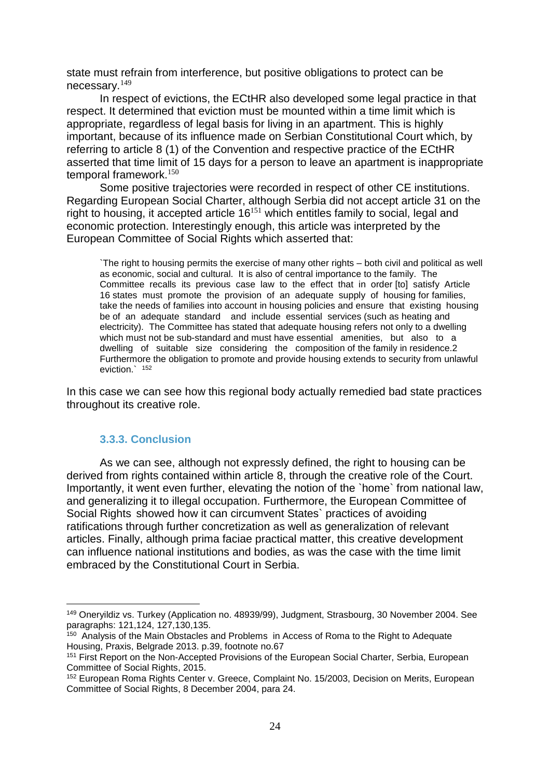state must refrain from interference, but positive obligations to protect can be necessary.<sup>149</sup>

In respect of evictions, the ECtHR also developed some legal practice in that respect. It determined that eviction must be mounted within a time limit which is appropriate, regardless of legal basis for living in an apartment. This is highly important, because of its influence made on Serbian Constitutional Court which, by referring to article 8 (1) of the Convention and respective practice of the ECtHR asserted that time limit of 15 days for a person to leave an apartment is inappropriate temporal framework.<sup>150</sup>

Some positive trajectories were recorded in respect of other CE institutions. Regarding European Social Charter, although Serbia did not accept article 31 on the right to housing, it accepted article  $16^{151}$  which entitles family to social, legal and economic protection. Interestingly enough, this article was interpreted by the European Committee of Social Rights which asserted that:

`The right to housing permits the exercise of many other rights – both civil and political as well as economic, social and cultural. It is also of central importance to the family. The Committee recalls its previous case law to the effect that in order [to] satisfy Article 16 states must promote the provision of an adequate supply of housing for families, take the needs of families into account in housing policies and ensure that existing housing be of an adequate standard and include essential services (such as heating and electricity). The Committee has stated that adequate housing refers not only to a dwelling which must not be sub-standard and must have essential amenities, but also to a dwelling of suitable size considering the composition of the family in residence.2 Furthermore the obligation to promote and provide housing extends to security from unlawful eviction.` 152

In this case we can see how this regional body actually remedied bad state practices throughout its creative role.

#### **3.3.3. Conclusion**

 $\overline{a}$ 

<span id="page-23-0"></span>As we can see, although not expressly defined, the right to housing can be derived from rights contained within article 8, through the creative role of the Court. Importantly, it went even further, elevating the notion of the `home` from national law, and generalizing it to illegal occupation. Furthermore, the European Committee of Social Rights showed how it can circumvent States` practices of avoiding ratifications through further concretization as well as generalization of relevant articles. Finally, although prima faciae practical matter, this creative development can influence national institutions and bodies, as was the case with the time limit embraced by the Constitutional Court in Serbia.

<sup>149</sup> Oneryildiz vs. Turkey (Application no. 48939/99), Judgment, Strasbourg, 30 November 2004. See paragraphs: 121,124, 127,130,135.

<sup>&</sup>lt;sup>150</sup> Analysis of the Main Obstacles and Problems in Access of Roma to the Right to Adequate Housing, Praxis, Belgrade 2013. p.39, footnote no.67

<sup>151</sup> First Report on the Non-Accepted Provisions of the European Social Charter, Serbia, European Committee of Social Rights, 2015.

<sup>152</sup> European Roma Rights Center v. Greece, Complaint No. 15/2003, Decision on Merits, European Committee of Social Rights, 8 December 2004, para 24.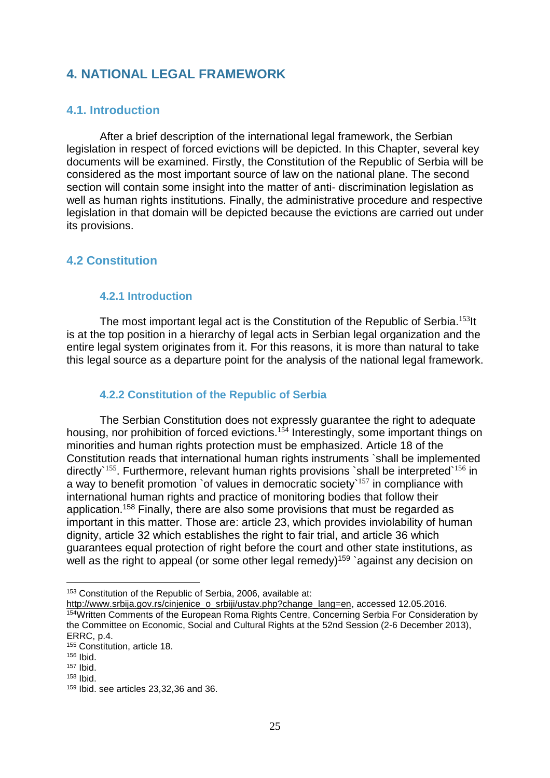# <span id="page-24-0"></span>**4. NATIONAL LEGAL FRAMEWORK**

#### <span id="page-24-1"></span>**4.1. Introduction**

After a brief description of the international legal framework, the Serbian legislation in respect of forced evictions will be depicted. In this Chapter, several key documents will be examined. Firstly, the Constitution of the Republic of Serbia will be considered as the most important source of law on the national plane. The second section will contain some insight into the matter of anti- discrimination legislation as well as human rights institutions. Finally, the administrative procedure and respective legislation in that domain will be depicted because the evictions are carried out under its provisions.

### <span id="page-24-2"></span>**4.2 Constitution**

#### <span id="page-24-3"></span>**4.2.1 Introduction**

The most important legal act is the Constitution of the Republic of Serbia.<sup>153</sup>lt is at the top position in a hierarchy of legal acts in Serbian legal organization and the entire legal system originates from it. For this reasons, it is more than natural to take this legal source as a departure point for the analysis of the national legal framework.

#### <span id="page-24-4"></span>**4.2.2 Constitution of the Republic of Serbia**

The Serbian Constitution does not expressly guarantee the right to adequate housing, nor prohibition of forced evictions.<sup>154</sup> Interestingly, some important things on minorities and human rights protection must be emphasized. Article 18 of the Constitution reads that international human rights instruments `shall be implemented directly`<sup>155</sup>. Furthermore, relevant human rights provisions `shall be interpreted`<sup>156</sup> in a way to benefit promotion `of values in democratic society  $157$  in compliance with international human rights and practice of monitoring bodies that follow their application.<sup>158</sup> Finally, there are also some provisions that must be regarded as important in this matter. Those are: article 23, which provides inviolability of human dignity, article 32 which establishes the right to fair trial, and article 36 which guarantees equal protection of right before the court and other state institutions, as well as the right to appeal (or some other legal remedy)<sup>159</sup> against any decision on

<sup>153</sup> Constitution of the Republic of Serbia, 2006, available at:

[http://www.srbija.gov.rs/cinjenice\\_o\\_srbiji/ustav.php?change\\_lang=en,](http://www.srbija.gov.rs/cinjenice_o_srbiji/ustav.php?change_lang=en) accessed 12.05.2016. <sup>154</sup>Written Comments of the European Roma Rights Centre, Concerning Serbia For Consideration by the Committee on Economic, Social and Cultural Rights at the 52nd Session (2-6 December 2013), ERRC, p.4.

<sup>155</sup> Constitution, article 18.

<sup>156</sup> Ibid.

<sup>157</sup> Ibid.

<sup>158</sup> Ibid.

<sup>159</sup> Ibid. see articles 23,32,36 and 36.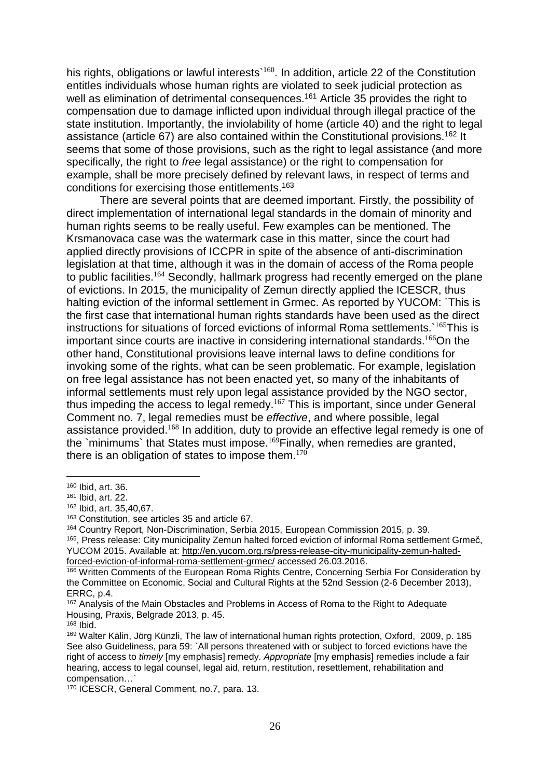his rights, obligations or lawful interests`<sup>160</sup>. In addition, article 22 of the Constitution entitles individuals whose human rights are violated to seek judicial protection as well as elimination of detrimental consequences.<sup>161</sup> Article 35 provides the right to compensation due to damage inflicted upon individual through illegal practice of the state institution. Importantly, the inviolability of home (article 40) and the right to legal assistance (article 67) are also contained within the Constitutional provisions.<sup>162</sup> It seems that some of those provisions, such as the right to legal assistance (and more specifically, the right to *free* legal assistance) or the right to compensation for example, shall be more precisely defined by relevant laws, in respect of terms and conditions for exercising those entitlements.<sup>163</sup>

There are several points that are deemed important. Firstly, the possibility of direct implementation of international legal standards in the domain of minority and human rights seems to be really useful. Few examples can be mentioned. The Krsmanovaca case was the watermark case in this matter, since the court had applied directly provisions of ICCPR in spite of the absence of anti-discrimination legislation at that time, although it was in the domain of access of the Roma people to public facilities.<sup>164</sup> Secondly, hallmark progress had recently emerged on the plane of evictions. In 2015, the municipality of Zemun directly applied the ICESCR, thus halting eviction of the informal settlement in Grmec. As reported by YUCOM: `This is the first case that international human rights standards have been used as the direct instructions for situations of forced evictions of informal Roma settlements.`<sup>165</sup>This is important since courts are inactive in considering international standards.<sup>166</sup>On the other hand, Constitutional provisions leave internal laws to define conditions for invoking some of the rights, what can be seen problematic. For example, legislation on free legal assistance has not been enacted yet, so many of the inhabitants of informal settlements must rely upon legal assistance provided by the NGO sector, thus impeding the access to legal remedy.<sup>167</sup> This is important, since under General Comment no. 7, legal remedies must be *effective*, and where possible, legal assistance provided.<sup>168</sup> In addition, duty to provide an effective legal remedy is one of the `minimums` that States must impose.<sup>169</sup>Finally, when remedies are granted, there is an obligation of states to impose them. $170$ 

 $\overline{a}$ <sup>160</sup> Ibid, art. 36.

<sup>161</sup> Ibid, art. 22.

<sup>162</sup> Ibid, art. 35,40,67.

<sup>163</sup> Constitution, see articles 35 and article 67.

<sup>164</sup> Country Report, Non-Discrimination, Serbia 2015, European Commission 2015, p. 39.

<sup>&</sup>lt;sup>165</sup>, Press release: City municipality Zemun halted forced eviction of informal Roma settlement Grmeč, YUCOM 2015. Available at: [http://en.yucom.org.rs/press-release-city-municipality-zemun-halted](http://en.yucom.org.rs/press-release-city-municipality-zemun-halted-forced-eviction-of-informal-roma-settlement-grmec/)[forced-eviction-of-informal-roma-settlement-grmec/](http://en.yucom.org.rs/press-release-city-municipality-zemun-halted-forced-eviction-of-informal-roma-settlement-grmec/) accessed 26.03.2016.

<sup>166</sup> Written Comments of the European Roma Rights Centre, Concerning Serbia For Consideration by the Committee on Economic, Social and Cultural Rights at the 52nd Session (2-6 December 2013), ERRC, p.4.

<sup>&</sup>lt;sup>167</sup> Analysis of the Main Obstacles and Problems in Access of Roma to the Right to Adequate Housing, Praxis, Belgrade 2013, p. 45.

<sup>168</sup> Ibid.

<sup>169</sup> Walter Kälin, Jörg Künzli, The law of international human rights protection, Oxford, 2009, p. 185 See also Guideliness, para 59: `All persons threatened with or subject to forced evictions have the right of access to *timely* [my emphasis] remedy. *Appropriate* [my emphasis] remedies include a fair hearing, access to legal counsel, legal aid, return, restitution, resettlement, rehabilitation and compensation…`

<sup>170</sup> ICESCR, General Comment, no.7, para. 13.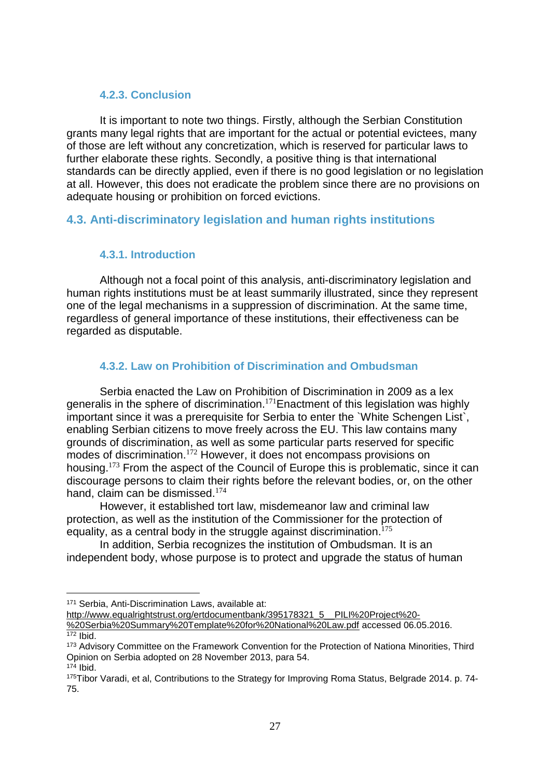#### <span id="page-26-0"></span>**4.2.3. Conclusion**

It is important to note two things. Firstly, although the Serbian Constitution grants many legal rights that are important for the actual or potential evictees, many of those are left without any concretization, which is reserved for particular laws to further elaborate these rights. Secondly, a positive thing is that international standards can be directly applied, even if there is no good legislation or no legislation at all. However, this does not eradicate the problem since there are no provisions on adequate housing or prohibition on forced evictions.

# <span id="page-26-1"></span>**4.3. Anti-discriminatory legislation and human rights institutions**

### <span id="page-26-2"></span>**4.3.1. Introduction**

Although not a focal point of this analysis, anti-discriminatory legislation and human rights institutions must be at least summarily illustrated, since they represent one of the legal mechanisms in a suppression of discrimination. At the same time, regardless of general importance of these institutions, their effectiveness can be regarded as disputable.

# <span id="page-26-3"></span>**4.3.2. Law on Prohibition of Discrimination and Ombudsman**

Serbia enacted the Law on Prohibition of Discrimination in 2009 as a lex generalis in the sphere of discrimination.<sup>171</sup>Enactment of this legislation was highly important since it was a prerequisite for Serbia to enter the `White Schengen List`, enabling Serbian citizens to move freely across the EU. This law contains many grounds of discrimination, as well as some particular parts reserved for specific modes of discrimination.<sup>172</sup> However, it does not encompass provisions on housing.<sup>173</sup> From the aspect of the Council of Europe this is problematic, since it can discourage persons to claim their rights before the relevant bodies, or, on the other hand, claim can be dismissed.<sup>174</sup>

However, it established tort law, misdemeanor law and criminal law protection, as well as the institution of the Commissioner for the protection of equality, as a central body in the struggle against discrimination.<sup>175</sup>

In addition, Serbia recognizes the institution of Ombudsman. It is an independent body, whose purpose is to protect and upgrade the status of human

<sup>171</sup> Serbia, Anti-Discrimination Laws, available at:

[http://www.equalrightstrust.org/ertdocumentbank/395178321\\_5\\_\\_PILI%20Project%20-](http://www.equalrightstrust.org/ertdocumentbank/395178321_5__PILI%20Project%20-%20Serbia%20Summary%20Template%20for%20National%20Law.pdf) [%20Serbia%20Summary%20Template%20for%20National%20Law.pdf](http://www.equalrightstrust.org/ertdocumentbank/395178321_5__PILI%20Project%20-%20Serbia%20Summary%20Template%20for%20National%20Law.pdf) accessed 06.05.2016.  $172$  Ibid.

<sup>173</sup> Advisory Committee on the Framework Convention for the Protection of Nationa Minorities, Third Opinion on Serbia adopted on 28 November 2013, para 54. <sup>174</sup> Ibid.

<sup>175</sup>Tibor Varadi, et al, Contributions to the Strategy for Improving Roma Status, Belgrade 2014. p. 74- 75.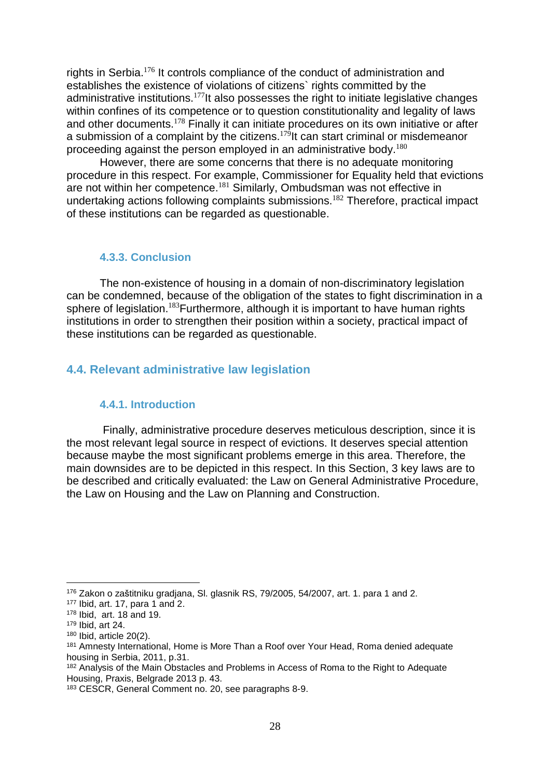rights in Serbia.<sup>176</sup> It controls compliance of the conduct of administration and establishes the existence of violations of citizens` rights committed by the administrative institutions.<sup>177</sup>It also possesses the right to initiate legislative changes within confines of its competence or to question constitutionality and legality of laws and other documents.<sup>178</sup> Finally it can initiate procedures on its own initiative or after a submission of a complaint by the citizens.<sup>179</sup>It can start criminal or misdemeanor proceeding against the person employed in an administrative body.<sup>180</sup>

However, there are some concerns that there is no adequate monitoring procedure in this respect. For example, Commissioner for Equality held that evictions are not within her competence.<sup>181</sup> Similarly, Ombudsman was not effective in undertaking actions following complaints submissions.<sup>182</sup> Therefore, practical impact of these institutions can be regarded as questionable.

#### <span id="page-27-0"></span>**4.3.3. Conclusion**

The non-existence of housing in a domain of non-discriminatory legislation can be condemned, because of the obligation of the states to fight discrimination in a sphere of legislation.<sup>183</sup>Furthermore, although it is important to have human rights institutions in order to strengthen their position within a society, practical impact of these institutions can be regarded as questionable.

### <span id="page-27-1"></span>**4.4. Relevant administrative law legislation**

#### <span id="page-27-2"></span>**4.4.1. Introduction**

Finally, administrative procedure deserves meticulous description, since it is the most relevant legal source in respect of evictions. It deserves special attention because maybe the most significant problems emerge in this area. Therefore, the main downsides are to be depicted in this respect. In this Section, 3 key laws are to be described and critically evaluated: the Law on General Administrative Procedure, the Law on Housing and the Law on Planning and Construction.

<sup>176</sup> Zakon o zaštitniku gradjana, Sl. glasnik RS, 79/2005, 54/2007, art. 1. para 1 and 2.

<sup>177</sup> Ibid, art. 17, para 1 and 2.

<sup>178</sup> Ibid, art. 18 and 19.

<sup>179</sup> Ibid, art 24.

 $180$  Ibid, article 20(2).

<sup>&</sup>lt;sup>181</sup> Amnesty International, Home is More Than a Roof over Your Head, Roma denied adequate housing in Serbia, 2011, p.31.

<sup>&</sup>lt;sup>182</sup> Analysis of the Main Obstacles and Problems in Access of Roma to the Right to Adequate Housing, Praxis, Belgrade 2013 p. 43.

<sup>183</sup> CESCR, General Comment no. 20, see paragraphs 8-9.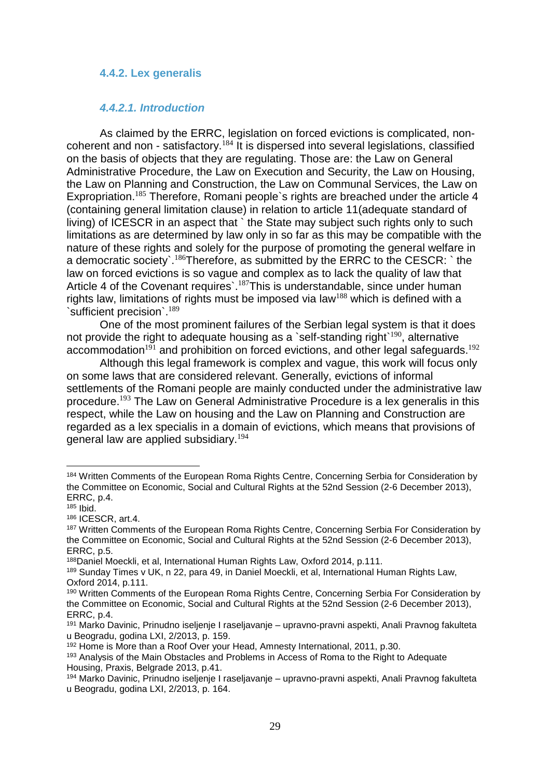#### <span id="page-28-0"></span>**4.4.2. Lex generalis**

#### <span id="page-28-1"></span>*4.4.2.1. Introduction*

As claimed by the ERRC, legislation on forced evictions is complicated, noncoherent and non - satisfactory.<sup>184</sup> It is dispersed into several legislations, classified on the basis of objects that they are regulating. Those are: the Law on General Administrative Procedure, the Law on Execution and Security, the Law on Housing, the Law on Planning and Construction, the Law on Communal Services, the Law on Expropriation.<sup>185</sup> Therefore, Romani people's rights are breached under the article 4 (containing general limitation clause) in relation to article 11(adequate standard of living) of ICESCR in an aspect that ` the State may subject such rights only to such limitations as are determined by law only in so far as this may be compatible with the nature of these rights and solely for the purpose of promoting the general welfare in a democratic society`.<sup>186</sup>Therefore, as submitted by the ERRC to the CESCR: ` the law on forced evictions is so vague and complex as to lack the quality of law that Article 4 of the Covenant requires`.<sup>187</sup>This is understandable, since under human rights law, limitations of rights must be imposed via law<sup>188</sup> which is defined with a `sufficient precision`.<sup>189</sup>

One of the most prominent failures of the Serbian legal system is that it does not provide the right to adequate housing as a `self-standing right` $^{190}$ , alternative accommodation<sup>191</sup> and prohibition on forced evictions, and other legal safeguards.<sup>192</sup>

Although this legal framework is complex and vague, this work will focus only on some laws that are considered relevant. Generally, evictions of informal settlements of the Romani people are mainly conducted under the administrative law procedure.<sup>193</sup> The Law on General Administrative Procedure is a lex generalis in this respect, while the Law on housing and the Law on Planning and Construction are regarded as a lex specialis in a domain of evictions, which means that provisions of general law are applied subsidiary.<sup>194</sup>

<sup>184</sup> Written Comments of the European Roma Rights Centre, Concerning Serbia for Consideration by the Committee on Economic, Social and Cultural Rights at the 52nd Session (2-6 December 2013), ERRC, p.4.

<sup>185</sup> Ibid.

<sup>186</sup> ICESCR, art.4.

<sup>&</sup>lt;sup>187</sup> Written Comments of the European Roma Rights Centre, Concerning Serbia For Consideration by the Committee on Economic, Social and Cultural Rights at the 52nd Session (2-6 December 2013), ERRC, p.5.

<sup>188</sup>Daniel Moeckli, et al, International Human Rights Law, Oxford 2014, p.111.

<sup>189</sup> Sunday Times v UK, n 22, para 49, in Daniel Moeckli, et al, International Human Rights Law, Oxford 2014, p.111.

<sup>&</sup>lt;sup>190</sup> Written Comments of the European Roma Rights Centre, Concerning Serbia For Consideration by the Committee on Economic, Social and Cultural Rights at the 52nd Session (2-6 December 2013), ERRC, p.4.

<sup>191</sup> Marko Davinic, Prinudno iseljenje I raseljavanje – upravno-pravni aspekti, Anali Pravnog fakulteta u Beogradu, godina LXI, 2/2013, p. 159.

<sup>192</sup> Home is More than a Roof Over your Head, Amnesty International, 2011, p.30.

<sup>193</sup> Analysis of the Main Obstacles and Problems in Access of Roma to the Right to Adequate Housing, Praxis, Belgrade 2013, p.41.

<sup>194</sup> Marko Davinic, Prinudno iseljenje I raseljavanje – upravno-pravni aspekti, Anali Pravnog fakulteta u Beogradu, godina LXI, 2/2013, p. 164.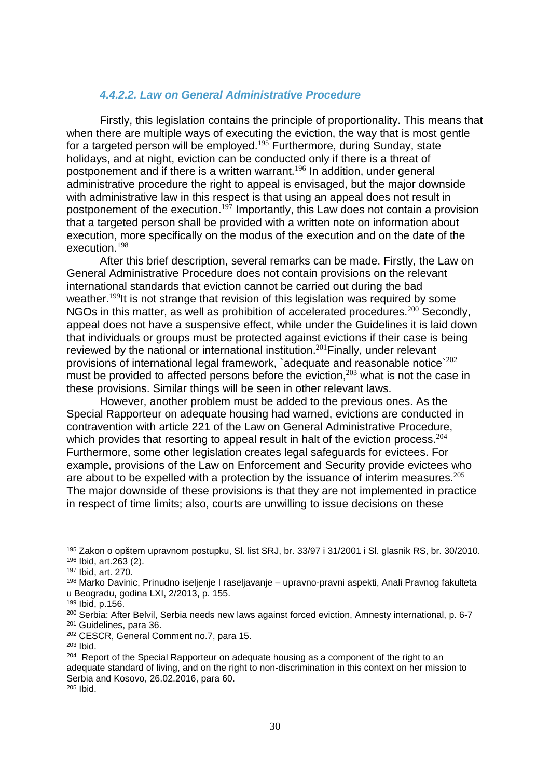#### <span id="page-29-0"></span>*4.4.2.2. Law on General Administrative Procedure*

Firstly, this legislation contains the principle of proportionality. This means that when there are multiple ways of executing the eviction, the way that is most gentle for a targeted person will be employed.<sup>195</sup> Furthermore, during Sunday, state holidays, and at night, eviction can be conducted only if there is a threat of postponement and if there is a written warrant.<sup>196</sup> In addition, under general administrative procedure the right to appeal is envisaged, but the major downside with administrative law in this respect is that using an appeal does not result in postponement of the execution.<sup>197</sup> Importantly, this Law does not contain a provision that a targeted person shall be provided with a written note on information about execution, more specifically on the modus of the execution and on the date of the execution.<sup>198</sup>

After this brief description, several remarks can be made. Firstly, the Law on General Administrative Procedure does not contain provisions on the relevant international standards that eviction cannot be carried out during the bad weather.<sup>199</sup>It is not strange that revision of this legislation was required by some NGOs in this matter, as well as prohibition of accelerated procedures.<sup>200</sup> Secondly, appeal does not have a suspensive effect, while under the Guidelines it is laid down that individuals or groups must be protected against evictions if their case is being reviewed by the national or international institution.<sup>201</sup> Finally, under relevant provisions of international legal framework, `adequate and reasonable notice`<sup>202</sup> must be provided to affected persons before the eviction,  $203$  what is not the case in these provisions. Similar things will be seen in other relevant laws.

However, another problem must be added to the previous ones. As the Special Rapporteur on adequate housing had warned, evictions are conducted in contravention with article 221 of the Law on General Administrative Procedure, which provides that resorting to appeal result in halt of the eviction process.<sup>204</sup> Furthermore, some other legislation creates legal safeguards for evictees. For example, provisions of the Law on Enforcement and Security provide evictees who are about to be expelled with a protection by the issuance of interim measures.<sup>205</sup> The major downside of these provisions is that they are not implemented in practice in respect of time limits; also, courts are unwilling to issue decisions on these

<sup>195</sup> Zakon o opštem upravnom postupku, Sl. list SRJ, br. 33/97 i 31/2001 i Sl. glasnik RS, br. 30/2010. <sup>196</sup> Ibid, art.263 (2).

<sup>197</sup> Ibid, art. 270.

<sup>198</sup> Marko Davinic, Prinudno iseljenje I raseljavanje – upravno-pravni aspekti, Anali Pravnog fakulteta u Beogradu, godina LXI, 2/2013, p. 155.

<sup>199</sup> Ibid, p.156.

<sup>200</sup> Serbia: After Belvil, Serbia needs new laws against forced eviction, Amnesty international, p. 6-7 <sup>201</sup> Guidelines, para 36.

<sup>202</sup> CESCR, General Comment no.7, para 15.

<sup>203</sup> Ibid.

<sup>&</sup>lt;sup>204</sup> Report of the Special Rapporteur on adequate housing as a component of the right to an adequate standard of living, and on the right to non-discrimination in this context on her mission to Serbia and Kosovo, 26.02.2016, para 60.

<sup>205</sup> Ibid.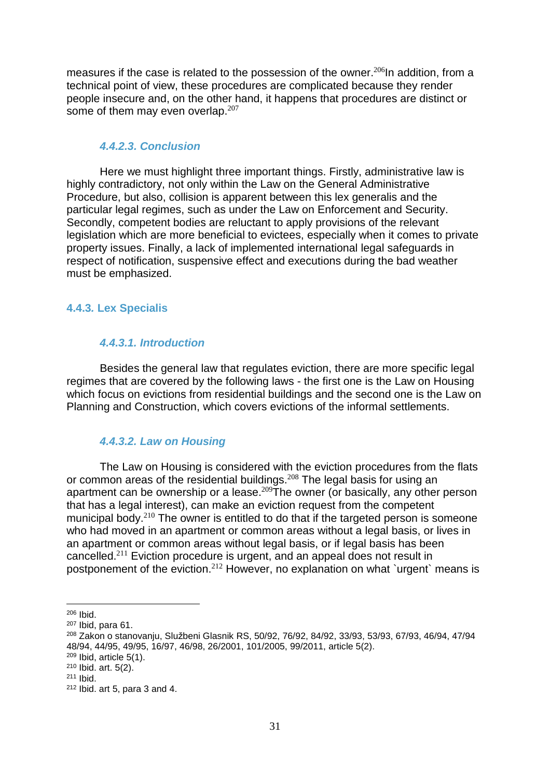measures if the case is related to the possession of the owner.<sup>206</sup>In addition, from a technical point of view, these procedures are complicated because they render people insecure and, on the other hand, it happens that procedures are distinct or some of them may even overlap. $207$ 

#### <span id="page-30-0"></span>*4.4.2.3. Conclusion*

Here we must highlight three important things. Firstly, administrative law is highly contradictory, not only within the Law on the General Administrative Procedure, but also, collision is apparent between this lex generalis and the particular legal regimes, such as under the Law on Enforcement and Security. Secondly, competent bodies are reluctant to apply provisions of the relevant legislation which are more beneficial to evictees, especially when it comes to private property issues. Finally, a lack of implemented international legal safeguards in respect of notification, suspensive effect and executions during the bad weather must be emphasized.

#### <span id="page-30-2"></span><span id="page-30-1"></span>**4.4.3***.* **Lex Specialis**

#### *4.4.3.1. Introduction*

Besides the general law that regulates eviction, there are more specific legal regimes that are covered by the following laws - the first one is the Law on Housing which focus on evictions from residential buildings and the second one is the Law on Planning and Construction, which covers evictions of the informal settlements.

#### <span id="page-30-3"></span>*4.4.3.2. Law on Housing*

The Law on Housing is considered with the eviction procedures from the flats or common areas of the residential buildings.<sup>208</sup> The legal basis for using an apartment can be ownership or a lease.<sup>209</sup>The owner (or basically, any other person that has a legal interest), can make an eviction request from the competent municipal body.<sup>210</sup> The owner is entitled to do that if the targeted person is someone who had moved in an apartment or common areas without a legal basis, or lives in an apartment or common areas without legal basis, or if legal basis has been cancelled.<sup>211</sup> Eviction procedure is urgent, and an appeal does not result in postponement of the eviction.<sup>212</sup> However, no explanation on what `urgent` means is

<sup>206</sup> Ibid.

<sup>207</sup> Ibid, para 61.

<sup>208</sup> Zakon o stanovanju, Službeni Glasnik RS, 50/92, 76/92, 84/92, 33/93, 53/93, 67/93, 46/94, 47/94 48/94, 44/95, 49/95, 16/97, 46/98, 26/2001, 101/2005, 99/2011, article 5(2).

 $209$  Ibid, article  $5(1)$ .

<sup>210</sup> Ibid. art. 5(2).

<sup>211</sup> Ibid.

<sup>212</sup> Ibid. art 5, para 3 and 4.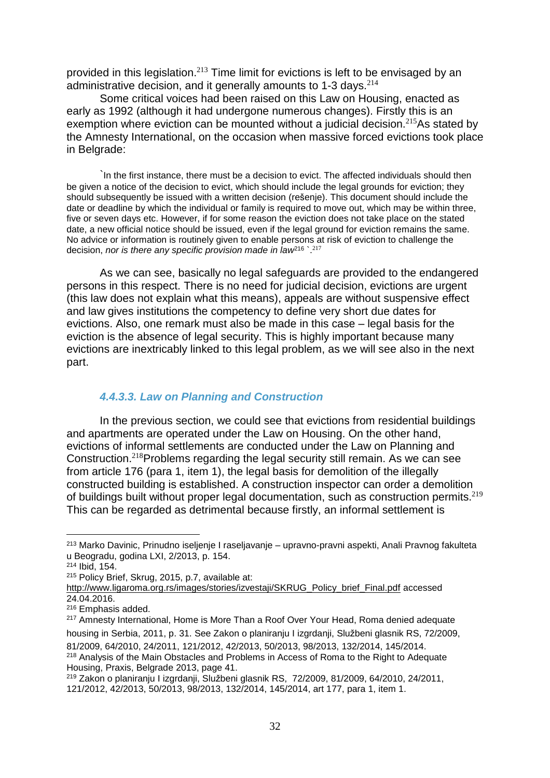provided in this legislation. $^{213}$  Time limit for evictions is left to be envisaged by an administrative decision, and it generally amounts to 1-3 days.<sup>214</sup>

Some critical voices had been raised on this Law on Housing, enacted as early as 1992 (although it had undergone numerous changes). Firstly this is an exemption where eviction can be mounted without a judicial decision.<sup>215</sup>As stated by the Amnesty International, on the occasion when massive forced evictions took place in Belgrade:

In the first instance, there must be a decision to evict. The affected individuals should then be given a notice of the decision to evict, which should include the legal grounds for eviction; they should subsequently be issued with a written decision (rešenje). This document should include the date or deadline by which the individual or family is required to move out, which may be within three, five or seven days etc. However, if for some reason the eviction does not take place on the stated date, a new official notice should be issued, even if the legal ground for eviction remains the same. No advice or information is routinely given to enable persons at risk of eviction to challenge the decision, *nor is there any specific provision made in law*<sup>216</sup> `. 217

As we can see, basically no legal safeguards are provided to the endangered persons in this respect. There is no need for judicial decision, evictions are urgent (this law does not explain what this means), appeals are without suspensive effect and law gives institutions the competency to define very short due dates for evictions. Also, one remark must also be made in this case – legal basis for the eviction is the absence of legal security. This is highly important because many evictions are inextricably linked to this legal problem, as we will see also in the next part.

#### <span id="page-31-0"></span>*4.4.3.3. Law on Planning and Construction*

In the previous section, we could see that evictions from residential buildings and apartments are operated under the Law on Housing. On the other hand, evictions of informal settlements are conducted under the Law on Planning and Construction.<sup>218</sup>Problems regarding the legal security still remain. As we can see from article 176 (para 1, item 1), the legal basis for demolition of the illegally constructed building is established. A construction inspector can order a demolition of buildings built without proper legal documentation, such as construction permits.<sup>219</sup> This can be regarded as detrimental because firstly, an informal settlement is

 $\overline{a}$ 

housing in Serbia, 2011, p. 31. See Zakon o planiranju I izgrdanji, Službeni glasnik RS, 72/2009, 81/2009, 64/2010, 24/2011, 121/2012, 42/2013, 50/2013, 98/2013, 132/2014, 145/2014. <sup>218</sup> Analysis of the Main Obstacles and Problems in Access of Roma to the Right to Adequate Housing, Praxis, Belgrade 2013, page 41.

<sup>213</sup> Marko Davinic, Prinudno iseljenje I raseljavanje – upravno-pravni aspekti, Anali Pravnog fakulteta u Beogradu, godina LXI, 2/2013, p. 154.

<sup>214</sup> Ibid, 154.

<sup>215</sup> Policy Brief, Skrug, 2015, p.7, available at:

[http://www.ligaroma.org.rs/images/stories/izvestaji/SKRUG\\_Policy\\_brief\\_Final.pdf](http://www.ligaroma.org.rs/images/stories/izvestaji/SKRUG_Policy_brief_Final.pdf) accessed 24.04.2016.

<sup>216</sup> Emphasis added.

<sup>&</sup>lt;sup>217</sup> Amnesty International, Home is More Than a Roof Over Your Head, Roma denied adequate

<sup>219</sup> Zakon o planiranju I izgrdanji, Službeni glasnik RS, 72/2009, 81/2009, 64/2010, 24/2011, 121/2012, 42/2013, 50/2013, 98/2013, 132/2014, 145/2014, art 177, para 1, item 1.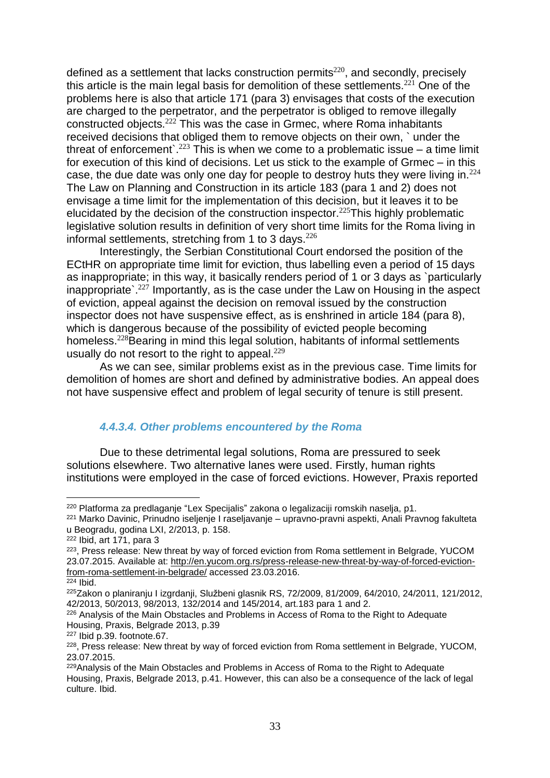defined as a settlement that lacks construction permits $^{220},$  and secondly, precisely this article is the main legal basis for demolition of these settlements. $221$  One of the problems here is also that article 171 (para 3) envisages that costs of the execution are charged to the perpetrator, and the perpetrator is obliged to remove illegally constructed objects.<sup>222</sup> This was the case in Grmec, where Roma inhabitants received decisions that obliged them to remove objects on their own, ` under the threat of enforcement.<sup>223</sup> This is when we come to a problematic issue – a time limit for execution of this kind of decisions. Let us stick to the example of Grmec – in this case, the due date was only one day for people to destroy huts they were living in. $224$ The Law on Planning and Construction in its article 183 (para 1 and 2) does not envisage a time limit for the implementation of this decision, but it leaves it to be elucidated by the decision of the construction inspector.<sup>225</sup>This highly problematic legislative solution results in definition of very short time limits for the Roma living in informal settlements, stretching from 1 to 3 days.  $226$ 

Interestingly, the Serbian Constitutional Court endorsed the position of the ECtHR on appropriate time limit for eviction, thus labelling even a period of 15 days as inappropriate; in this way, it basically renders period of 1 or 3 days as `particularly inappropriate`.<sup>227</sup> Importantly, as is the case under the Law on Housing in the aspect of eviction, appeal against the decision on removal issued by the construction inspector does not have suspensive effect, as is enshrined in article 184 (para 8), which is dangerous because of the possibility of evicted people becoming homeless.<sup>228</sup>Bearing in mind this legal solution, habitants of informal settlements usually do not resort to the right to appeal. $229$ 

As we can see, similar problems exist as in the previous case. Time limits for demolition of homes are short and defined by administrative bodies. An appeal does not have suspensive effect and problem of legal security of tenure is still present.

#### <span id="page-32-0"></span>*4.4.3.4. Other problems encountered by the Roma*

Due to these detrimental legal solutions, Roma are pressured to seek solutions elsewhere. Two alternative lanes were used. Firstly, human rights institutions were employed in the case of forced evictions. However, Praxis reported

 $\overline{a}$ <sup>220</sup> Platforma za predlaganje "Lex Specijalis" zakona o legalizaciji romskih naselja, p1.

<sup>221</sup> Marko Davinic, Prinudno iseljenje I raseljavanje – upravno-pravni aspekti, Anali Pravnog fakulteta u Beogradu, godina LXI, 2/2013, p. 158.

<sup>222</sup> Ibid, art 171, para 3

 $^{223}$ , Press release: New threat by way of forced eviction from Roma settlement in Belgrade, YUCOM 23.07.2015. Available at: [http://en.yucom.org.rs/press-release-new-threat-by-way-of-forced-eviction](http://en.yucom.org.rs/press-release-new-threat-by-way-of-forced-eviction-from-roma-settlement-in-belgrade/)[from-roma-settlement-in-belgrade/](http://en.yucom.org.rs/press-release-new-threat-by-way-of-forced-eviction-from-roma-settlement-in-belgrade/) accessed 23.03.2016.

 $224$  Ibid.

<sup>225</sup>Zakon o planiranju I izgrdanji, Službeni glasnik RS, 72/2009, 81/2009, 64/2010, 24/2011, 121/2012, 42/2013, 50/2013, 98/2013, 132/2014 and 145/2014, art.183 para 1 and 2.

<sup>226</sup> Analysis of the Main Obstacles and Problems in Access of Roma to the Right to Adequate Housing, Praxis, Belgrade 2013, p.39

<sup>227</sup> Ibid p.39. footnote.67.

 $^{228}$ , Press release: New threat by way of forced eviction from Roma settlement in Belgrade, YUCOM, 23.07.2015.

<sup>229</sup>Analysis of the Main Obstacles and Problems in Access of Roma to the Right to Adequate Housing, Praxis, Belgrade 2013, p.41. However, this can also be a consequence of the lack of legal culture. Ibid.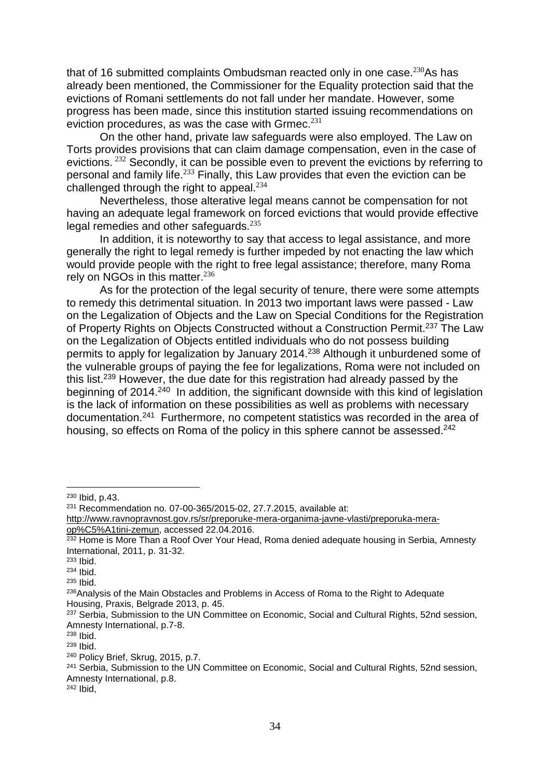that of 16 submitted complaints Ombudsman reacted only in one case. $230$ As has already been mentioned, the Commissioner for the Equality protection said that the evictions of Romani settlements do not fall under her mandate. However, some progress has been made, since this institution started issuing recommendations on eviction procedures, as was the case with Grmec. $^{231}$ 

On the other hand, private law safeguards were also employed. The Law on Torts provides provisions that can claim damage compensation, even in the case of evictions. <sup>232</sup> Secondly, it can be possible even to prevent the evictions by referring to personal and family life.<sup>233</sup> Finally, this Law provides that even the eviction can be challenged through the right to appeal.<sup>234</sup>

Nevertheless, those alterative legal means cannot be compensation for not having an adequate legal framework on forced evictions that would provide effective legal remedies and other safeguards.<sup>235</sup>

In addition, it is noteworthy to say that access to legal assistance, and more generally the right to legal remedy is further impeded by not enacting the law which would provide people with the right to free legal assistance; therefore, many Roma rely on NGOs in this matter.<sup>236</sup>

As for the protection of the legal security of tenure, there were some attempts to remedy this detrimental situation. In 2013 two important laws were passed - Law on the Legalization of Objects and the Law on Special Conditions for the Registration of Property Rights on Objects Constructed without a Construction Permit.<sup>237</sup> The Law on the Legalization of Objects entitled individuals who do not possess building permits to apply for legalization by January 2014.<sup>238</sup> Although it unburdened some of the vulnerable groups of paying the fee for legalizations, Roma were not included on this list.<sup>239</sup> However, the due date for this registration had already passed by the beginning of 2014.<sup>240</sup> In addition, the significant downside with this kind of legislation is the lack of information on these possibilities as well as problems with necessary documentation.<sup>241</sup> Furthermore, no competent statistics was recorded in the area of housing, so effects on Roma of the policy in this sphere cannot be assessed.<sup>242</sup>

<sup>230</sup> Ibid, p.43.

<sup>231</sup> Recommendation no. 07-00-365/2015-02, 27.7.2015, available at:

[http://www.ravnopravnost.gov.rs/sr/preporuke-mera-organima-javne-vlasti/preporuka-mera](http://www.ravnopravnost.gov.rs/sr/preporuke-mera-organima-javne-vlasti/preporuka-mera-op%C5%A1tini-zemun)[op%C5%A1tini-zemun,](http://www.ravnopravnost.gov.rs/sr/preporuke-mera-organima-javne-vlasti/preporuka-mera-op%C5%A1tini-zemun) accessed 22.04.2016.

 $232$  Home is More Than a Roof Over Your Head, Roma denied adequate housing in Serbia, Amnesty International, 2011, p. 31-32.

<sup>233</sup> Ibid.

<sup>234</sup> Ibid.

<sup>235</sup> Ibid.

<sup>&</sup>lt;sup>236</sup>Analysis of the Main Obstacles and Problems in Access of Roma to the Right to Adequate Housing, Praxis, Belgrade 2013, p. 45.

<sup>&</sup>lt;sup>237</sup> Serbia, Submission to the UN Committee on Economic, Social and Cultural Rights, 52nd session, Amnesty International, p.7-8.

<sup>238</sup> Ibid.

<sup>239</sup> Ibid.

<sup>240</sup> Policy Brief, Skrug, 2015, p.7.

<sup>&</sup>lt;sup>241</sup> Serbia, Submission to the UN Committee on Economic, Social and Cultural Rights, 52nd session, Amnesty International, p.8.

<sup>242</sup> Ibid,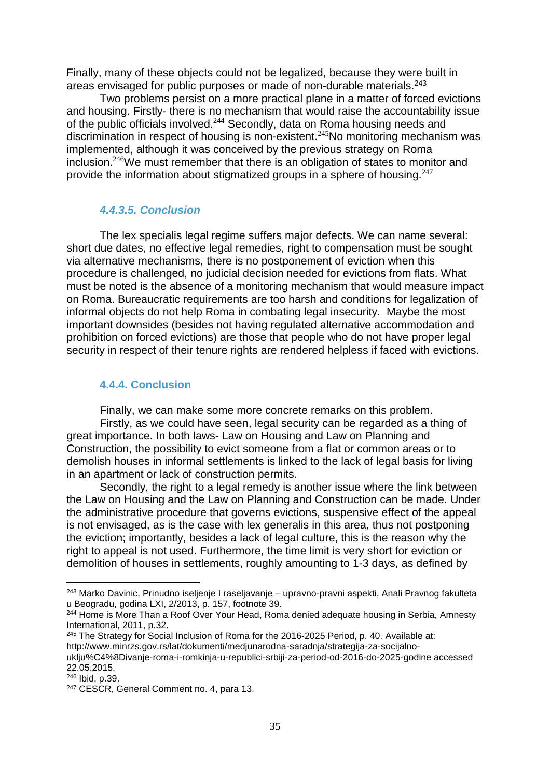Finally, many of these objects could not be legalized, because they were built in areas envisaged for public purposes or made of non-durable materials. 243

Two problems persist on a more practical plane in a matter of forced evictions and housing. Firstly- there is no mechanism that would raise the accountability issue of the public officials involved.<sup>244</sup> Secondly, data on Roma housing needs and discrimination in respect of housing is non-existent.<sup>245</sup>No monitoring mechanism was implemented, although it was conceived by the previous strategy on Roma inclusion.<sup>246</sup>We must remember that there is an obligation of states to monitor and provide the information about stigmatized groups in a sphere of housing.<sup>247</sup>

#### <span id="page-34-0"></span>*4.4.3.5. Conclusion*

The lex specialis legal regime suffers major defects. We can name several: short due dates, no effective legal remedies, right to compensation must be sought via alternative mechanisms, there is no postponement of eviction when this procedure is challenged, no judicial decision needed for evictions from flats. What must be noted is the absence of a monitoring mechanism that would measure impact on Roma. Bureaucratic requirements are too harsh and conditions for legalization of informal objects do not help Roma in combating legal insecurity. Maybe the most important downsides (besides not having regulated alternative accommodation and prohibition on forced evictions) are those that people who do not have proper legal security in respect of their tenure rights are rendered helpless if faced with evictions.

#### <span id="page-34-1"></span>**4.4.4. Conclusion**

Finally, we can make some more concrete remarks on this problem.

Firstly, as we could have seen, legal security can be regarded as a thing of great importance. In both laws- Law on Housing and Law on Planning and Construction, the possibility to evict someone from a flat or common areas or to demolish houses in informal settlements is linked to the lack of legal basis for living in an apartment or lack of construction permits.

Secondly, the right to a legal remedy is another issue where the link between the Law on Housing and the Law on Planning and Construction can be made. Under the administrative procedure that governs evictions, suspensive effect of the appeal is not envisaged, as is the case with lex generalis in this area, thus not postponing the eviction; importantly, besides a lack of legal culture, this is the reason why the right to appeal is not used. Furthermore, the time limit is very short for eviction or demolition of houses in settlements, roughly amounting to 1-3 days, as defined by

<sup>243</sup> Marko Davinic, Prinudno iseljenje I raseljavanje – upravno-pravni aspekti, Anali Pravnog fakulteta u Beogradu, godina LXI, 2/2013, p. 157, footnote 39.

<sup>&</sup>lt;sup>244</sup> Home is More Than a Roof Over Your Head, Roma denied adequate housing in Serbia, Amnesty International, 2011, p.32.

<sup>245</sup> The Strategy for Social Inclusion of Roma for the 2016-2025 Period, p. 40. Available at: http://www.minrzs.gov.rs/lat/dokumenti/medjunarodna-saradnja/strategija-za-socijalnouklju%C4%8Divanje-roma-i-romkinja-u-republici-srbiji-za-period-od-2016-do-2025-godine accessed 22.05.2015.

<sup>246</sup> Ibid, p.39.

<sup>&</sup>lt;sup>247</sup> CESCR, General Comment no. 4, para 13.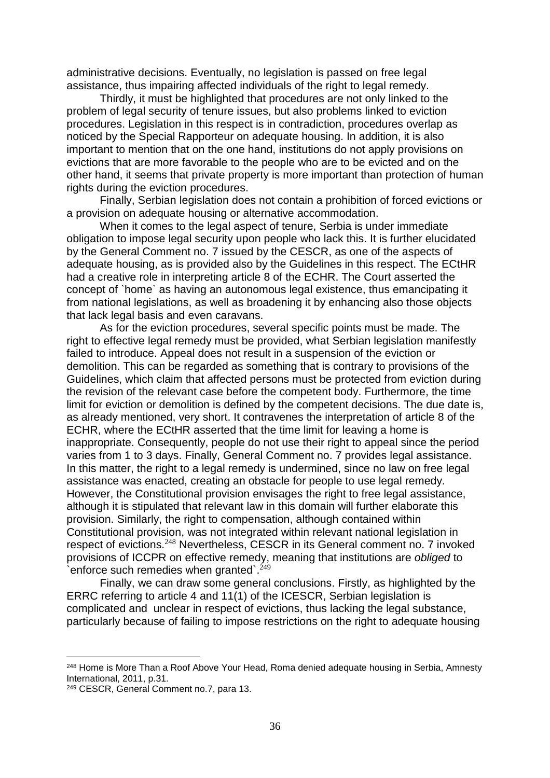administrative decisions. Eventually, no legislation is passed on free legal assistance, thus impairing affected individuals of the right to legal remedy.

Thirdly, it must be highlighted that procedures are not only linked to the problem of legal security of tenure issues, but also problems linked to eviction procedures. Legislation in this respect is in contradiction, procedures overlap as noticed by the Special Rapporteur on adequate housing. In addition, it is also important to mention that on the one hand, institutions do not apply provisions on evictions that are more favorable to the people who are to be evicted and on the other hand, it seems that private property is more important than protection of human rights during the eviction procedures.

Finally, Serbian legislation does not contain a prohibition of forced evictions or a provision on adequate housing or alternative accommodation.

When it comes to the legal aspect of tenure, Serbia is under immediate obligation to impose legal security upon people who lack this. It is further elucidated by the General Comment no. 7 issued by the CESCR, as one of the aspects of adequate housing, as is provided also by the Guidelines in this respect. The ECtHR had a creative role in interpreting article 8 of the ECHR. The Court asserted the concept of `home` as having an autonomous legal existence, thus emancipating it from national legislations, as well as broadening it by enhancing also those objects that lack legal basis and even caravans.

As for the eviction procedures, several specific points must be made. The right to effective legal remedy must be provided, what Serbian legislation manifestly failed to introduce. Appeal does not result in a suspension of the eviction or demolition. This can be regarded as something that is contrary to provisions of the Guidelines, which claim that affected persons must be protected from eviction during the revision of the relevant case before the competent body. Furthermore, the time limit for eviction or demolition is defined by the competent decisions. The due date is, as already mentioned, very short. It contravenes the interpretation of article 8 of the ECHR, where the ECtHR asserted that the time limit for leaving a home is inappropriate. Consequently, people do not use their right to appeal since the period varies from 1 to 3 days. Finally, General Comment no. 7 provides legal assistance. In this matter, the right to a legal remedy is undermined, since no law on free legal assistance was enacted, creating an obstacle for people to use legal remedy. However, the Constitutional provision envisages the right to free legal assistance, although it is stipulated that relevant law in this domain will further elaborate this provision. Similarly, the right to compensation, although contained within Constitutional provision, was not integrated within relevant national legislation in respect of evictions.<sup>248</sup> Nevertheless, CESCR in its General comment no. 7 invoked provisions of ICCPR on effective remedy, meaning that institutions are *obliged* to enforce such remedies when granted  $2^{249}$ 

Finally, we can draw some general conclusions. Firstly, as highlighted by the ERRC referring to article 4 and 11(1) of the ICESCR, Serbian legislation is complicated and unclear in respect of evictions, thus lacking the legal substance, particularly because of failing to impose restrictions on the right to adequate housing

<sup>&</sup>lt;sup>248</sup> Home is More Than a Roof Above Your Head, Roma denied adequate housing in Serbia, Amnesty International, 2011, p.31.

<sup>249</sup> CESCR, General Comment no.7, para 13.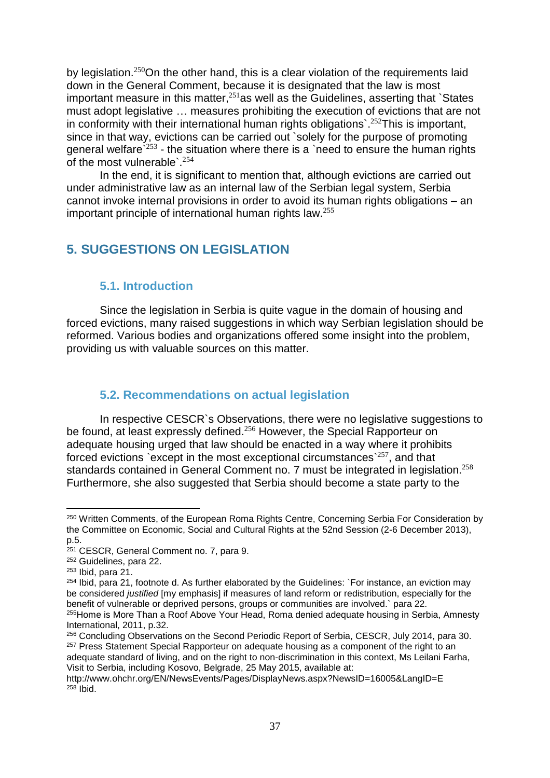by legislation.<sup>250</sup>On the other hand, this is a clear violation of the requirements laid down in the General Comment, because it is designated that the law is most important measure in this matter,  $251$  as well as the Guidelines, asserting that `States must adopt legislative … measures prohibiting the execution of evictions that are not in conformity with their international human rights obligations.<sup>252</sup>This is important, since in that way, evictions can be carried out `solely for the purpose of promoting general welfare` $^{253}$  - the situation where there is a `need to ensure the human rights of the most vulnerable`.<sup>254</sup>

In the end, it is significant to mention that, although evictions are carried out under administrative law as an internal law of the Serbian legal system, Serbia cannot invoke internal provisions in order to avoid its human rights obligations – an important principle of international human rights law.<sup>255</sup>

# <span id="page-36-0"></span>**5. SUGGESTIONS ON LEGISLATION**

# <span id="page-36-1"></span>**5.1. Introduction**

Since the legislation in Serbia is quite vague in the domain of housing and forced evictions, many raised suggestions in which way Serbian legislation should be reformed. Various bodies and organizations offered some insight into the problem, providing us with valuable sources on this matter.

# <span id="page-36-2"></span>**5.2. Recommendations on actual legislation**

In respective CESCR`s Observations, there were no legislative suggestions to be found, at least expressly defined.<sup>256</sup> However, the Special Rapporteur on adequate housing urged that law should be enacted in a way where it prohibits forced evictions `except in the most exceptional circumstances` $^{257}$ , and that standards contained in General Comment no. 7 must be integrated in legislation.<sup>258</sup> Furthermore, she also suggested that Serbia should become a state party to the

l

adequate standard of living, and on the right to non-discrimination in this context, Ms Leilani Farha, Visit to Serbia, including Kosovo, Belgrade, 25 May 2015, available at:

<sup>250</sup> Written Comments, of the European Roma Rights Centre, Concerning Serbia For Consideration by the Committee on Economic, Social and Cultural Rights at the 52nd Session (2-6 December 2013), p.5.

<sup>251</sup> CESCR, General Comment no. 7, para 9.

<sup>252</sup> Guidelines, para 22.

<sup>253</sup> Ibid, para 21.

<sup>254</sup> Ibid, para 21, footnote d. As further elaborated by the Guidelines: `For instance, an eviction may be considered *justified* [my emphasis] if measures of land reform or redistribution, especially for the benefit of vulnerable or deprived persons, groups or communities are involved.` para 22.

<sup>255</sup>Home is More Than a Roof Above Your Head, Roma denied adequate housing in Serbia, Amnesty International, 2011, p.32.

<sup>256</sup> Concluding Observations on the Second Periodic Report of Serbia, CESCR, July 2014, para 30. <sup>257</sup> Press Statement Special Rapporteur on adequate housing as a component of the right to an

http://www.ohchr.org/EN/NewsEvents/Pages/DisplayNews.aspx?NewsID=16005&LangID=E  $258$  Ibid.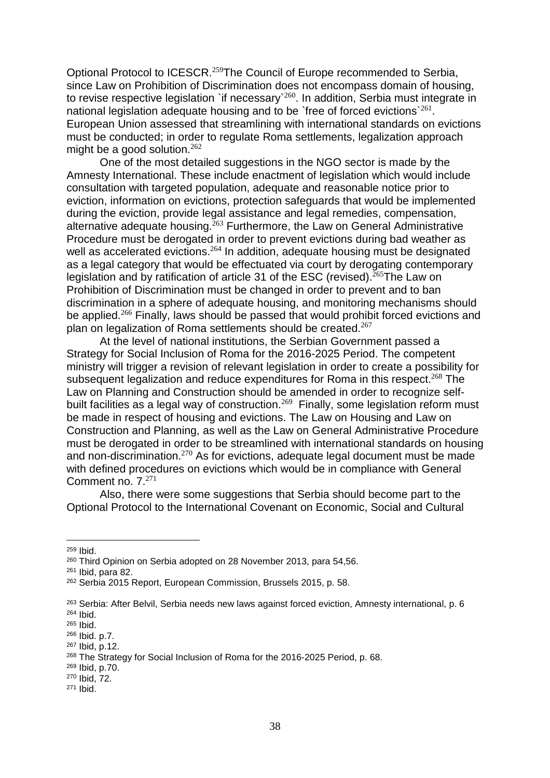Optional Protocol to ICESCR.<sup>259</sup>The Council of Europe recommended to Serbia, since Law on Prohibition of Discrimination does not encompass domain of housing, to revise respective legislation `if necessary` $^{260}$ . In addition, Serbia must integrate in national legislation adequate housing and to be `free of forced evictions`<sup>261</sup>. European Union assessed that streamlining with international standards on evictions must be conducted; in order to regulate Roma settlements, legalization approach might be a good solution.<sup>262</sup>

One of the most detailed suggestions in the NGO sector is made by the Amnesty International. These include enactment of legislation which would include consultation with targeted population, adequate and reasonable notice prior to eviction, information on evictions, protection safeguards that would be implemented during the eviction, provide legal assistance and legal remedies, compensation, alternative adequate housing.<sup>263</sup> Furthermore, the Law on General Administrative Procedure must be derogated in order to prevent evictions during bad weather as well as accelerated evictions.<sup>264</sup> In addition, adequate housing must be designated as a legal category that would be effectuated via court by derogating contemporary legislation and by ratification of article 31 of the ESC (revised).<sup>265</sup>The Law on Prohibition of Discrimination must be changed in order to prevent and to ban discrimination in a sphere of adequate housing, and monitoring mechanisms should be applied.<sup>266</sup> Finally, laws should be passed that would prohibit forced evictions and plan on legalization of Roma settlements should be created.<sup>267</sup>

At the level of national institutions, the Serbian Government passed a Strategy for Social Inclusion of Roma for the 2016-2025 Period. The competent ministry will trigger a revision of relevant legislation in order to create a possibility for subsequent legalization and reduce expenditures for Roma in this respect.<sup>268</sup> The Law on Planning and Construction should be amended in order to recognize selfbuilt facilities as a legal way of construction. $^{269}$  Finally, some legislation reform must be made in respect of housing and evictions. The Law on Housing and Law on Construction and Planning, as well as the Law on General Administrative Procedure must be derogated in order to be streamlined with international standards on housing and non-discrimination.<sup>270</sup> As for evictions, adequate legal document must be made with defined procedures on evictions which would be in compliance with General Comment no. 7.<sup>271</sup>

Also, there were some suggestions that Serbia should become part to the Optional Protocol to the International Covenant on Economic, Social and Cultural

<sup>&</sup>lt;sup>259</sup> Ibid.

<sup>260</sup> Third Opinion on Serbia adopted on 28 November 2013, para 54,56.

<sup>261</sup> Ibid, para 82.

<sup>262</sup> Serbia 2015 Report, European Commission, Brussels 2015, p. 58.

<sup>263</sup> Serbia: After Belvil, Serbia needs new laws against forced eviction, Amnesty international, p. 6 <sup>264</sup> Ibid.

<sup>265</sup> Ibid.

<sup>266</sup> Ibid. p.7.

<sup>267</sup> Ibid, p.12.

<sup>268</sup> The Strategy for Social Inclusion of Roma for the 2016-2025 Period, p. 68.

<sup>269</sup> Ibid, p.70.

<sup>270</sup> Ibid, 72.

<sup>271</sup> Ibid.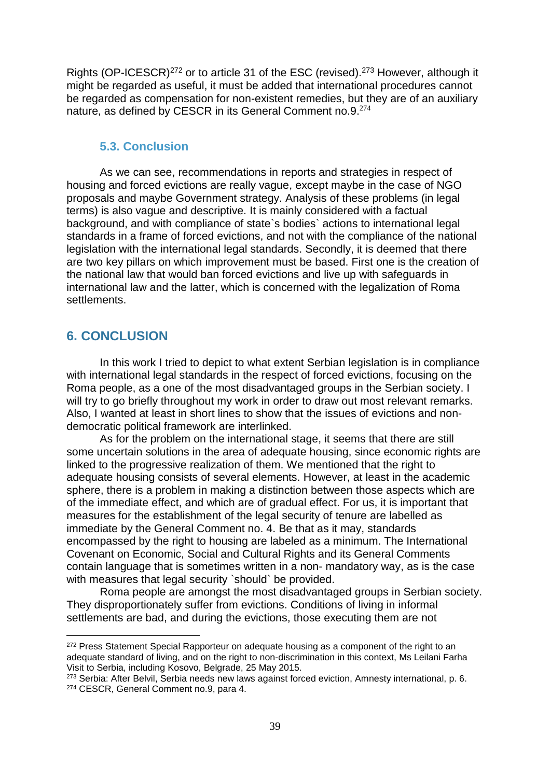Rights (OP-ICESCR)<sup>272</sup> or to article 31 of the ESC (revised).<sup>273</sup> However, although it might be regarded as useful, it must be added that international procedures cannot be regarded as compensation for non-existent remedies, but they are of an auxiliary nature, as defined by CESCR in its General Comment no.9.<sup>274</sup>

#### <span id="page-38-0"></span>**5.3. Conclusion**

As we can see, recommendations in reports and strategies in respect of housing and forced evictions are really vague, except maybe in the case of NGO proposals and maybe Government strategy. Analysis of these problems (in legal terms) is also vague and descriptive. It is mainly considered with a factual background, and with compliance of state`s bodies` actions to international legal standards in a frame of forced evictions, and not with the compliance of the national legislation with the international legal standards. Secondly, it is deemed that there are two key pillars on which improvement must be based. First one is the creation of the national law that would ban forced evictions and live up with safeguards in international law and the latter, which is concerned with the legalization of Roma settlements.

# <span id="page-38-1"></span>**6. CONCLUSION**

 $\overline{a}$ 

In this work I tried to depict to what extent Serbian legislation is in compliance with international legal standards in the respect of forced evictions, focusing on the Roma people, as a one of the most disadvantaged groups in the Serbian society. I will try to go briefly throughout my work in order to draw out most relevant remarks. Also, I wanted at least in short lines to show that the issues of evictions and nondemocratic political framework are interlinked.

As for the problem on the international stage, it seems that there are still some uncertain solutions in the area of adequate housing, since economic rights are linked to the progressive realization of them. We mentioned that the right to adequate housing consists of several elements. However, at least in the academic sphere, there is a problem in making a distinction between those aspects which are of the immediate effect, and which are of gradual effect. For us, it is important that measures for the establishment of the legal security of tenure are labelled as immediate by the General Comment no. 4. Be that as it may, standards encompassed by the right to housing are labeled as a minimum. The International Covenant on Economic, Social and Cultural Rights and its General Comments contain language that is sometimes written in a non- mandatory way, as is the case with measures that legal security `should` be provided.

Roma people are amongst the most disadvantaged groups in Serbian society. They disproportionately suffer from evictions. Conditions of living in informal settlements are bad, and during the evictions, those executing them are not

<sup>&</sup>lt;sup>272</sup> Press Statement Special Rapporteur on adequate housing as a component of the right to an adequate standard of living, and on the right to non-discrimination in this context, Ms Leilani Farha Visit to Serbia, including Kosovo, Belgrade, 25 May 2015.

<sup>273</sup> Serbia: After Belvil, Serbia needs new laws against forced eviction, Amnesty international, p. 6. <sup>274</sup> CESCR, General Comment no.9, para 4.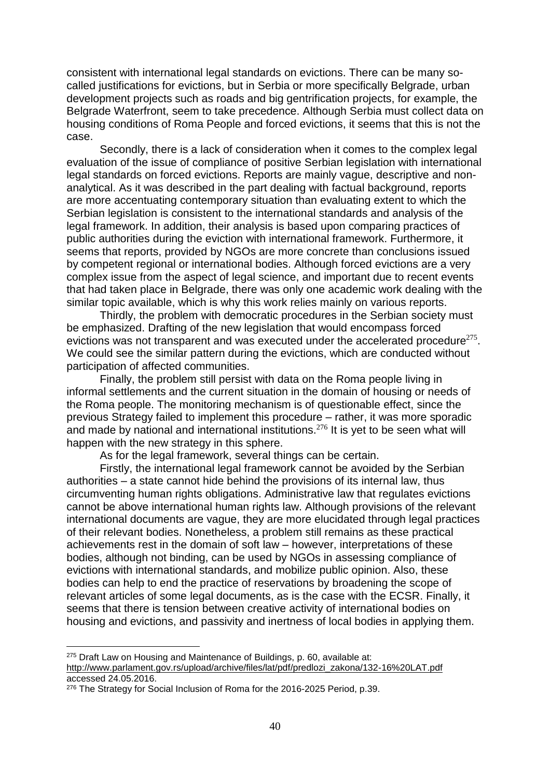consistent with international legal standards on evictions. There can be many socalled justifications for evictions, but in Serbia or more specifically Belgrade, urban development projects such as roads and big gentrification projects, for example, the Belgrade Waterfront, seem to take precedence. Although Serbia must collect data on housing conditions of Roma People and forced evictions, it seems that this is not the case.

Secondly, there is a lack of consideration when it comes to the complex legal evaluation of the issue of compliance of positive Serbian legislation with international legal standards on forced evictions. Reports are mainly vague, descriptive and nonanalytical. As it was described in the part dealing with factual background, reports are more accentuating contemporary situation than evaluating extent to which the Serbian legislation is consistent to the international standards and analysis of the legal framework. In addition, their analysis is based upon comparing practices of public authorities during the eviction with international framework. Furthermore, it seems that reports, provided by NGOs are more concrete than conclusions issued by competent regional or international bodies. Although forced evictions are a very complex issue from the aspect of legal science, and important due to recent events that had taken place in Belgrade, there was only one academic work dealing with the similar topic available, which is why this work relies mainly on various reports.

Thirdly, the problem with democratic procedures in the Serbian society must be emphasized. Drafting of the new legislation that would encompass forced evictions was not transparent and was executed under the accelerated procedure $^{275}$ . We could see the similar pattern during the evictions, which are conducted without participation of affected communities.

Finally, the problem still persist with data on the Roma people living in informal settlements and the current situation in the domain of housing or needs of the Roma people. The monitoring mechanism is of questionable effect, since the previous Strategy failed to implement this procedure – rather, it was more sporadic and made by national and international institutions.<sup>276</sup> It is yet to be seen what will happen with the new strategy in this sphere.

As for the legal framework, several things can be certain.

Firstly, the international legal framework cannot be avoided by the Serbian authorities – a state cannot hide behind the provisions of its internal law, thus circumventing human rights obligations. Administrative law that regulates evictions cannot be above international human rights law. Although provisions of the relevant international documents are vague, they are more elucidated through legal practices of their relevant bodies. Nonetheless, a problem still remains as these practical achievements rest in the domain of soft law – however, interpretations of these bodies, although not binding, can be used by NGOs in assessing compliance of evictions with international standards, and mobilize public opinion. Also, these bodies can help to end the practice of reservations by broadening the scope of relevant articles of some legal documents, as is the case with the ECSR. Finally, it seems that there is tension between creative activity of international bodies on housing and evictions, and passivity and inertness of local bodies in applying them.

<sup>&</sup>lt;sup>275</sup> Draft Law on Housing and Maintenance of Buildings, p. 60, available at: [http://www.parlament.gov.rs/upload/archive/files/lat/pdf/predlozi\\_zakona/132-16%20LAT.pdf](http://www.parlament.gov.rs/upload/archive/files/lat/pdf/predlozi_zakona/132-16%20LAT.pdf) accessed 24.05.2016.

<sup>276</sup> The Strategy for Social Inclusion of Roma for the 2016-2025 Period, p.39.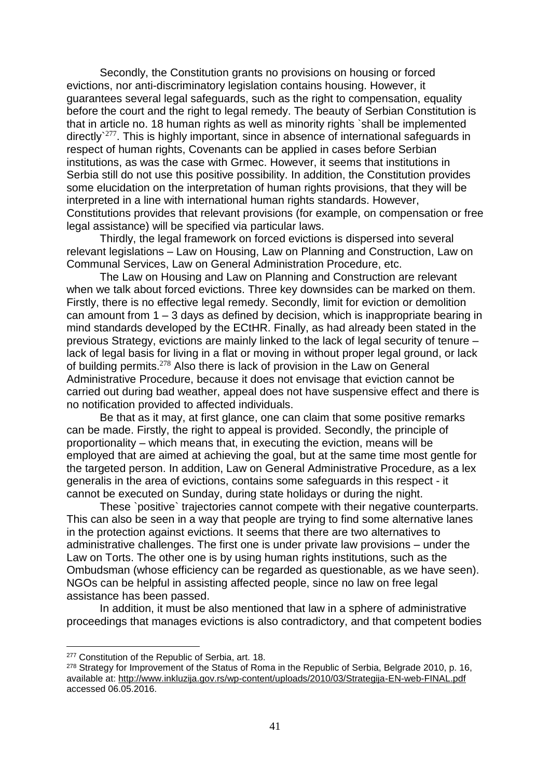Secondly, the Constitution grants no provisions on housing or forced evictions, nor anti-discriminatory legislation contains housing. However, it guarantees several legal safeguards, such as the right to compensation, equality before the court and the right to legal remedy. The beauty of Serbian Constitution is that in article no. 18 human rights as well as minority rights `shall be implemented directly`<sup>277</sup>. This is highly important, since in absence of international safeguards in respect of human rights, Covenants can be applied in cases before Serbian institutions, as was the case with Grmec. However, it seems that institutions in Serbia still do not use this positive possibility. In addition, the Constitution provides some elucidation on the interpretation of human rights provisions, that they will be interpreted in a line with international human rights standards. However, Constitutions provides that relevant provisions (for example, on compensation or free legal assistance) will be specified via particular laws.

Thirdly, the legal framework on forced evictions is dispersed into several relevant legislations – Law on Housing, Law on Planning and Construction, Law on Communal Services, Law on General Administration Procedure, etc.

The Law on Housing and Law on Planning and Construction are relevant when we talk about forced evictions. Three key downsides can be marked on them. Firstly, there is no effective legal remedy. Secondly, limit for eviction or demolition can amount from 1 – 3 days as defined by decision, which is inappropriate bearing in mind standards developed by the ECtHR. Finally, as had already been stated in the previous Strategy, evictions are mainly linked to the lack of legal security of tenure – lack of legal basis for living in a flat or moving in without proper legal ground, or lack of building permits.<sup>278</sup> Also there is lack of provision in the Law on General Administrative Procedure, because it does not envisage that eviction cannot be carried out during bad weather, appeal does not have suspensive effect and there is no notification provided to affected individuals.

Be that as it may, at first glance, one can claim that some positive remarks can be made. Firstly, the right to appeal is provided. Secondly, the principle of proportionality – which means that, in executing the eviction, means will be employed that are aimed at achieving the goal, but at the same time most gentle for the targeted person. In addition, Law on General Administrative Procedure, as a lex generalis in the area of evictions, contains some safeguards in this respect - it cannot be executed on Sunday, during state holidays or during the night.

These `positive` trajectories cannot compete with their negative counterparts. This can also be seen in a way that people are trying to find some alternative lanes in the protection against evictions. It seems that there are two alternatives to administrative challenges. The first one is under private law provisions – under the Law on Torts. The other one is by using human rights institutions, such as the Ombudsman (whose efficiency can be regarded as questionable, as we have seen). NGOs can be helpful in assisting affected people, since no law on free legal assistance has been passed.

In addition, it must be also mentioned that law in a sphere of administrative proceedings that manages evictions is also contradictory, and that competent bodies

<sup>277</sup> Constitution of the Republic of Serbia, art. 18.

<sup>&</sup>lt;sup>278</sup> Strategy for Improvement of the Status of Roma in the Republic of Serbia, Belgrade 2010, p. 16, available at: <http://www.inkluzija.gov.rs/wp-content/uploads/2010/03/Strategija-EN-web-FINAL.pdf> accessed 06.05.2016.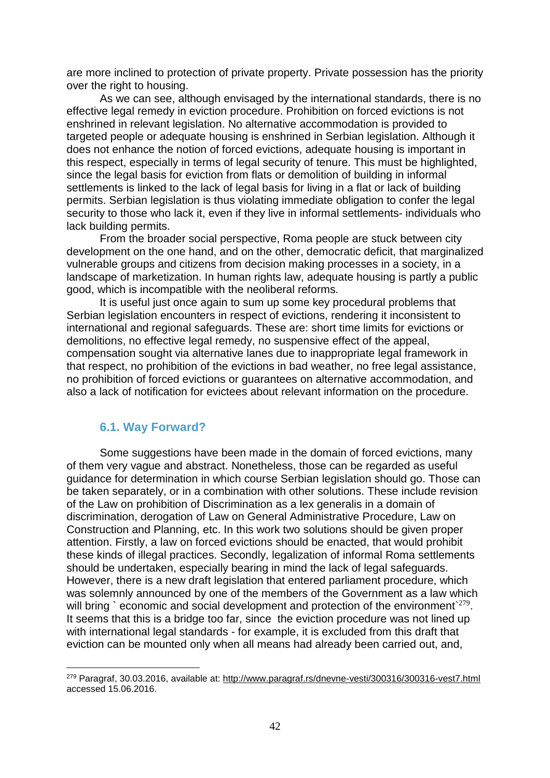are more inclined to protection of private property. Private possession has the priority over the right to housing.

As we can see, although envisaged by the international standards, there is no effective legal remedy in eviction procedure. Prohibition on forced evictions is not enshrined in relevant legislation. No alternative accommodation is provided to targeted people or adequate housing is enshrined in Serbian legislation. Although it does not enhance the notion of forced evictions, adequate housing is important in this respect, especially in terms of legal security of tenure. This must be highlighted, since the legal basis for eviction from flats or demolition of building in informal settlements is linked to the lack of legal basis for living in a flat or lack of building permits. Serbian legislation is thus violating immediate obligation to confer the legal security to those who lack it, even if they live in informal settlements- individuals who lack building permits.

From the broader social perspective, Roma people are stuck between city development on the one hand, and on the other, democratic deficit, that marginalized vulnerable groups and citizens from decision making processes in a society, in a landscape of marketization. In human rights law, adequate housing is partly a public good, which is incompatible with the neoliberal reforms.

It is useful just once again to sum up some key procedural problems that Serbian legislation encounters in respect of evictions, rendering it inconsistent to international and regional safeguards. These are: short time limits for evictions or demolitions, no effective legal remedy, no suspensive effect of the appeal, compensation sought via alternative lanes due to inappropriate legal framework in that respect, no prohibition of the evictions in bad weather, no free legal assistance, no prohibition of forced evictions or guarantees on alternative accommodation, and also a lack of notification for evictees about relevant information on the procedure.

#### <span id="page-41-0"></span>**6.1. Way Forward?**

 $\overline{a}$ 

Some suggestions have been made in the domain of forced evictions, many of them very vague and abstract. Nonetheless, those can be regarded as useful guidance for determination in which course Serbian legislation should go. Those can be taken separately, or in a combination with other solutions. These include revision of the Law on prohibition of Discrimination as a lex generalis in a domain of discrimination, derogation of Law on General Administrative Procedure, Law on Construction and Planning, etc. In this work two solutions should be given proper attention. Firstly, a law on forced evictions should be enacted, that would prohibit these kinds of illegal practices. Secondly, legalization of informal Roma settlements should be undertaken, especially bearing in mind the lack of legal safeguards. However, there is a new draft legislation that entered parliament procedure, which was solemnly announced by one of the members of the Government as a law which will bring `economic and social development and protection of the environment  $279$ . It seems that this is a bridge too far, since the eviction procedure was not lined up with international legal standards - for example, it is excluded from this draft that eviction can be mounted only when all means had already been carried out, and,

<sup>279</sup> Paragraf, 30.03.2016, available at: <http://www.paragraf.rs/dnevne-vesti/300316/300316-vest7.html> accessed 15.06.2016.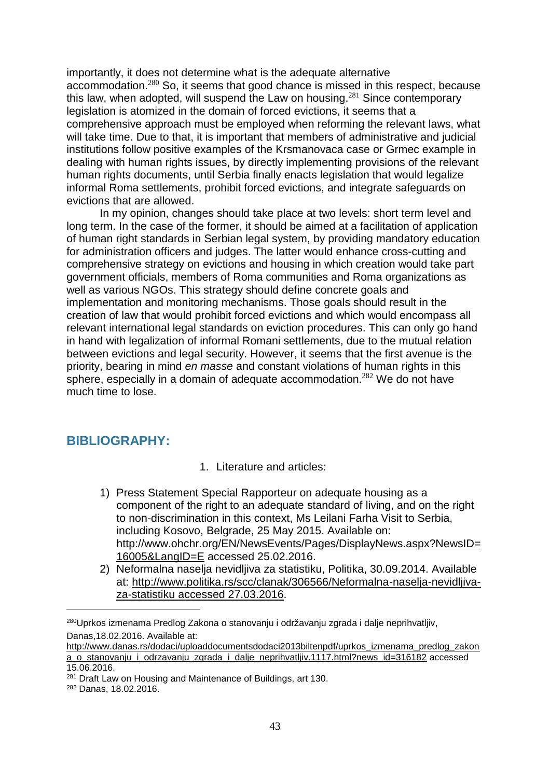importantly, it does not determine what is the adequate alternative accommodation.<sup>280</sup> So, it seems that good chance is missed in this respect, because this law, when adopted, will suspend the Law on housing.<sup>281</sup> Since contemporary legislation is atomized in the domain of forced evictions, it seems that a comprehensive approach must be employed when reforming the relevant laws, what will take time. Due to that, it is important that members of administrative and judicial institutions follow positive examples of the Krsmanovaca case or Grmec example in dealing with human rights issues, by directly implementing provisions of the relevant human rights documents, until Serbia finally enacts legislation that would legalize informal Roma settlements, prohibit forced evictions, and integrate safeguards on evictions that are allowed.

In my opinion, changes should take place at two levels: short term level and long term. In the case of the former, it should be aimed at a facilitation of application of human right standards in Serbian legal system, by providing mandatory education for administration officers and judges. The latter would enhance cross-cutting and comprehensive strategy on evictions and housing in which creation would take part government officials, members of Roma communities and Roma organizations as well as various NGOs. This strategy should define concrete goals and implementation and monitoring mechanisms. Those goals should result in the creation of law that would prohibit forced evictions and which would encompass all relevant international legal standards on eviction procedures. This can only go hand in hand with legalization of informal Romani settlements, due to the mutual relation between evictions and legal security. However, it seems that the first avenue is the priority, bearing in mind *en masse* and constant violations of human rights in this sphere, especially in a domain of adequate accommodation.<sup>282</sup> We do not have much time to lose.

# <span id="page-42-0"></span>**BIBLIOGRAPHY:**

- 1. Literature and articles:
- 1) Press Statement Special Rapporteur on adequate housing as a component of the right to an adequate standard of living, and on the right to non-discrimination in this context, Ms Leilani Farha Visit to Serbia, including Kosovo, Belgrade, 25 May 2015. Available on: [http://www.ohchr.org/EN/NewsEvents/Pages/DisplayNews.aspx?NewsID=](http://www.ohchr.org/EN/NewsEvents/Pages/DisplayNews.aspx?NewsID=16005&LangID=E) [16005&LangID=E](http://www.ohchr.org/EN/NewsEvents/Pages/DisplayNews.aspx?NewsID=16005&LangID=E) accessed 25.02.2016.
- 2) Neformalna naselja nevidljiva za statistiku, Politika, 30.09.2014. Available at: [http://www.politika.rs/scc/clanak/306566/Neformalna-naselja-nevidljiva](http://www.politika.rs/scc/clanak/306566/Neformalna-naselja-nevidljiva-za-statistiku%20accessed%2027.03.2016)[za-statistiku](http://www.politika.rs/scc/clanak/306566/Neformalna-naselja-nevidljiva-za-statistiku%20accessed%2027.03.2016) accessed 27.03.2016.

<sup>280</sup>Uprkos izmenama Predlog Zakona o stanovanju i održavanju zgrada i dalje neprihvatljiv, Danas,18.02.2016. Available at:

[http://www.danas.rs/dodaci/uploaddocumentsdodaci2013biltenpdf/uprkos\\_izmenama\\_predlog\\_zakon](http://www.danas.rs/dodaci/uploaddocumentsdodaci2013biltenpdf/uprkos_izmenama_predlog_zakona_o_stanovanju_i_odrzavanju_zgrada_i_dalje_neprihvatljiv.1117.html?news_id=316182) [a\\_o\\_stanovanju\\_i\\_odrzavanju\\_zgrada\\_i\\_dalje\\_neprihvatljiv.1117.html?news\\_id=316182](http://www.danas.rs/dodaci/uploaddocumentsdodaci2013biltenpdf/uprkos_izmenama_predlog_zakona_o_stanovanju_i_odrzavanju_zgrada_i_dalje_neprihvatljiv.1117.html?news_id=316182) accessed 15.06.2016.

<sup>281</sup> Draft Law on Housing and Maintenance of Buildings, art 130.

<sup>282</sup> Danas, 18.02.2016.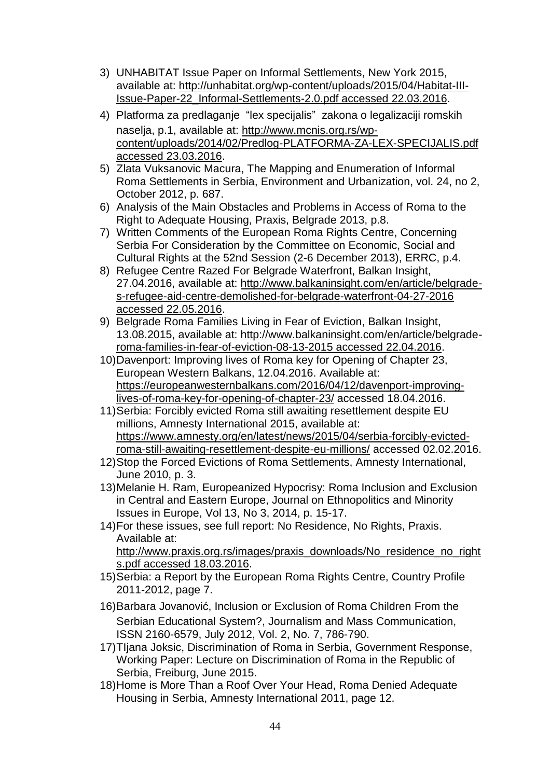- 3) UNHABITAT Issue Paper on Informal Settlements, New York 2015, available at: [http://unhabitat.org/wp-content/uploads/2015/04/Habitat-III-](http://unhabitat.org/wp-content/uploads/2015/04/Habitat-III-Issue-Paper-22_Informal-Settlements-2.0.pdf%20accessed%2022.03.2016)[Issue-Paper-22\\_Informal-Settlements-2.0.pdf](http://unhabitat.org/wp-content/uploads/2015/04/Habitat-III-Issue-Paper-22_Informal-Settlements-2.0.pdf%20accessed%2022.03.2016) accessed 22.03.2016.
- 4) Platforma za predlaganje "lex specijalis" zakona o legalizaciji romskih naselja, p.1, available at: [http://www.mcnis.org.rs/wp](http://www.mcnis.org.rs/wp-content/uploads/2014/02/Predlog-PLATFORMA-ZA-LEX-SPECIJALIS.pdf%20accessed%2023.03.2016)[content/uploads/2014/02/Predlog-PLATFORMA-ZA-LEX-SPECIJALIS.pdf](http://www.mcnis.org.rs/wp-content/uploads/2014/02/Predlog-PLATFORMA-ZA-LEX-SPECIJALIS.pdf%20accessed%2023.03.2016) accessed [23.03.2016.](http://www.mcnis.org.rs/wp-content/uploads/2014/02/Predlog-PLATFORMA-ZA-LEX-SPECIJALIS.pdf%20accessed%2023.03.2016)
- 5) Zlata Vuksanovic Macura, The Mapping and Enumeration of Informal Roma Settlements in Serbia, Environment and Urbanization, vol. 24, no 2, October 2012, p. 687.
- 6) Analysis of the Main Obstacles and Problems in Access of Roma to the Right to Adequate Housing, Praxis, Belgrade 2013, p.8.
- 7) Written Comments of the European Roma Rights Centre, Concerning Serbia For Consideration by the Committee on Economic, Social and Cultural Rights at the 52nd Session (2-6 December 2013), ERRC, p.4.
- 8) Refugee Centre Razed For Belgrade Waterfront, Balkan Insight, 27.04.2016, available at: [http://www.balkaninsight.com/en/article/belgrade](http://www.balkaninsight.com/en/article/belgrade-s-refugee-aid-centre-demolished-for-belgrade-waterfront-04-27-2016%20accessed%2022.05.2016)[s-refugee-aid-centre-demolished-for-belgrade-waterfront-04-27-2016](http://www.balkaninsight.com/en/article/belgrade-s-refugee-aid-centre-demolished-for-belgrade-waterfront-04-27-2016%20accessed%2022.05.2016) accessed [22.05.2016.](http://www.balkaninsight.com/en/article/belgrade-s-refugee-aid-centre-demolished-for-belgrade-waterfront-04-27-2016%20accessed%2022.05.2016)
- 9) Belgrade Roma Families Living in Fear of Eviction, Balkan Insight, 13.08.2015, available at: [http://www.balkaninsight.com/en/article/belgrade](http://www.balkaninsight.com/en/article/belgrade-roma-families-in-fear-of-eviction-08-13-2015%20accessed%2022.04.2016)[roma-families-in-fear-of-eviction-08-13-2015](http://www.balkaninsight.com/en/article/belgrade-roma-families-in-fear-of-eviction-08-13-2015%20accessed%2022.04.2016) accessed 22.04.2016.
- 10)Davenport: Improving lives of Roma key for Opening of Chapter 23, European Western Balkans, 12.04.2016. Available at: [https://europeanwesternbalkans.com/2016/04/12/davenport-improving](https://europeanwesternbalkans.com/2016/04/12/davenport-improving-lives-of-roma-key-for-opening-of-chapter-23/)[lives-of-roma-key-for-opening-of-chapter-23/](https://europeanwesternbalkans.com/2016/04/12/davenport-improving-lives-of-roma-key-for-opening-of-chapter-23/) accessed 18.04.2016.
- 11)Serbia: Forcibly evicted Roma still awaiting resettlement despite EU millions, Amnesty International 2015, available at: [https://www.amnesty.org/en/latest/news/2015/04/serbia-forcibly-evicted](https://www.amnesty.org/en/latest/news/2015/04/serbia-forcibly-evicted-roma-still-awaiting-resettlement-despite-eu-millions/)[roma-still-awaiting-resettlement-despite-eu-millions/](https://www.amnesty.org/en/latest/news/2015/04/serbia-forcibly-evicted-roma-still-awaiting-resettlement-despite-eu-millions/) accessed 02.02.2016.
- 12)Stop the Forced Evictions of Roma Settlements, Amnesty International, June 2010, p. 3.
- 13)Melanie H. Ram, Europeanized Hypocrisy: Roma Inclusion and Exclusion in Central and Eastern Europe, Journal on Ethnopolitics and Minority Issues in Europe, Vol 13, No 3, 2014, p. 15-17.
- 14)For these issues, see full report: No Residence, No Rights, Praxis. Available at: [http://www.praxis.org.rs/images/praxis\\_downloads/No\\_residence\\_no\\_right](http://www.praxis.org.rs/images/praxis_downloads/No_residence_no_rights.pdf%20accessed%2018.03.2016) s.pdf accessed [18.03.2016.](http://www.praxis.org.rs/images/praxis_downloads/No_residence_no_rights.pdf%20accessed%2018.03.2016)
- 15)Serbia: a Report by the European Roma Rights Centre, Country Profile 2011-2012, page 7.
- 16)Barbara Jovanović, Inclusion or Exclusion of Roma Children From the Serbian Educational System?, Journalism and Mass Communication, ISSN 2160-6579, July 2012, Vol. 2, No. 7, 786-790.
- 17)TIjana Joksic, Discrimination of Roma in Serbia, Government Response, Working Paper: Lecture on Discrimination of Roma in the Republic of Serbia, Freiburg, June 2015.
- 18)Home is More Than a Roof Over Your Head, Roma Denied Adequate Housing in Serbia, Amnesty International 2011, page 12.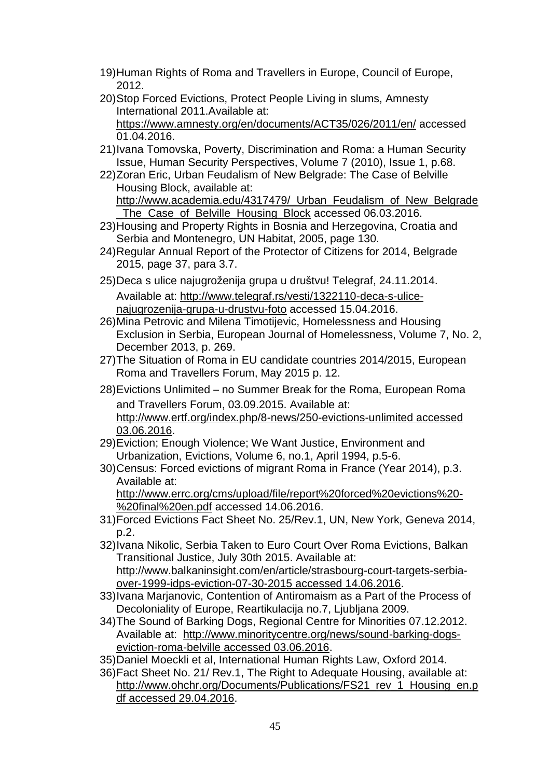- 19)Human Rights of Roma and Travellers in Europe, Council of Europe, 2012.
- 20)Stop Forced Evictions, Protect People Living in slums, Amnesty International 2011.Available at: <https://www.amnesty.org/en/documents/ACT35/026/2011/en/> accessed 01.04.2016.
- 21)Ivana Tomovska, Poverty, Discrimination and Roma: a Human Security Issue, Human Security Perspectives, Volume 7 (2010), Issue 1, p.68.
- 22)Zoran Eric, Urban Feudalism of New Belgrade: The Case of Belville Housing Block, available at: http://www.academia.edu/4317479/ Urban Feudalism of New Belgrade
	- [\\_The\\_Case\\_of\\_Belville\\_Housing\\_Block](http://www.academia.edu/4317479/_Urban_Feudalism_of_New_Belgrade_The_Case_of_Belville_Housing_Block) accessed 06.03.2016.
- 23)Housing and Property Rights in Bosnia and Herzegovina, Croatia and Serbia and Montenegro, UN Habitat, 2005, page 130.
- 24)Regular Annual Report of the Protector of Citizens for 2014, Belgrade 2015, page 37, para 3.7.
- 25)Deca s ulice najugroženija grupa u društvu! Telegraf, 24.11.2014. Available at: [http://www.telegraf.rs/vesti/1322110-deca-s-ulice](http://www.telegraf.rs/vesti/1322110-deca-s-ulice-najugrozenija-grupa-u-drustvu-foto)[najugrozenija-grupa-u-drustvu-foto](http://www.telegraf.rs/vesti/1322110-deca-s-ulice-najugrozenija-grupa-u-drustvu-foto) accessed 15.04.2016.
- 26)Mina Petrovic and Milena Timotijevic, Homelessness and Housing Exclusion in Serbia, European Journal of Homelessness, Volume 7, No. 2, December 2013, p. 269.
- 27)The Situation of Roma in EU candidate countries 2014/2015, European Roma and Travellers Forum, May 2015 p. 12.
- 28)Evictions Unlimited no Summer Break for the Roma, European Roma and Travellers Forum, 03.09.2015. Available at: [http://www.ertf.org/index.php/8-news/250-evictions-unlimited](http://www.ertf.org/index.php/8-news/250-evictions-unlimited%20accessed%2003.06.2016) accessed [03.06.2016.](http://www.ertf.org/index.php/8-news/250-evictions-unlimited%20accessed%2003.06.2016)
- 29)Eviction; Enough Violence; We Want Justice, Environment and Urbanization, Evictions, Volume 6, no.1, April 1994, p.5-6.
- 30)Census: Forced evictions of migrant Roma in France (Year 2014), p.3. Available at: [http://www.errc.org/cms/upload/file/report%20forced%20evictions%20-](http://www.errc.org/cms/upload/file/report%20forced%20evictions%20-%20final%20en.pdf) [%20final%20en.pdf](http://www.errc.org/cms/upload/file/report%20forced%20evictions%20-%20final%20en.pdf) accessed 14.06.2016.
- 31)Forced Evictions Fact Sheet No. 25/Rev.1, UN, New York, Geneva 2014, p.2.
- 32)Ivana Nikolic, Serbia Taken to Euro Court Over Roma Evictions, Balkan Transitional Justice, July 30th 2015. Available at: [http://www.balkaninsight.com/en/article/strasbourg-court-targets-serbia](http://www.balkaninsight.com/en/article/strasbourg-court-targets-serbia-over-1999-idps-eviction-07-30-2015%20accessed%2014.06.2016)[over-1999-idps-eviction-07-30-2015](http://www.balkaninsight.com/en/article/strasbourg-court-targets-serbia-over-1999-idps-eviction-07-30-2015%20accessed%2014.06.2016) accessed 14.06.2016.
- 33)Ivana Marjanovic, Contention of Antiromaism as a Part of the Process of Decoloniality of Europe, Reartikulacija no.7, Ljubljana 2009.
- 34)The Sound of Barking Dogs, Regional Centre for Minorities 07.12.2012. Available at: [http://www.minoritycentre.org/news/sound-barking-dogs](http://www.minoritycentre.org/news/sound-barking-dogs-eviction-roma-belville%20accessed%2003.06.2016)[eviction-roma-belville](http://www.minoritycentre.org/news/sound-barking-dogs-eviction-roma-belville%20accessed%2003.06.2016) accessed 03.06.2016.
- 35)Daniel Moeckli et al, International Human Rights Law, Oxford 2014.
- 36)Fact Sheet No. 21/ Rev.1, The Right to Adequate Housing, available at: [http://www.ohchr.org/Documents/Publications/FS21\\_rev\\_1\\_Housing\\_en.p](http://www.ohchr.org/Documents/Publications/FS21_rev_1_Housing_en.pdf%20accessed%2029.04.2016) df accessed [29.04.2016.](http://www.ohchr.org/Documents/Publications/FS21_rev_1_Housing_en.pdf%20accessed%2029.04.2016)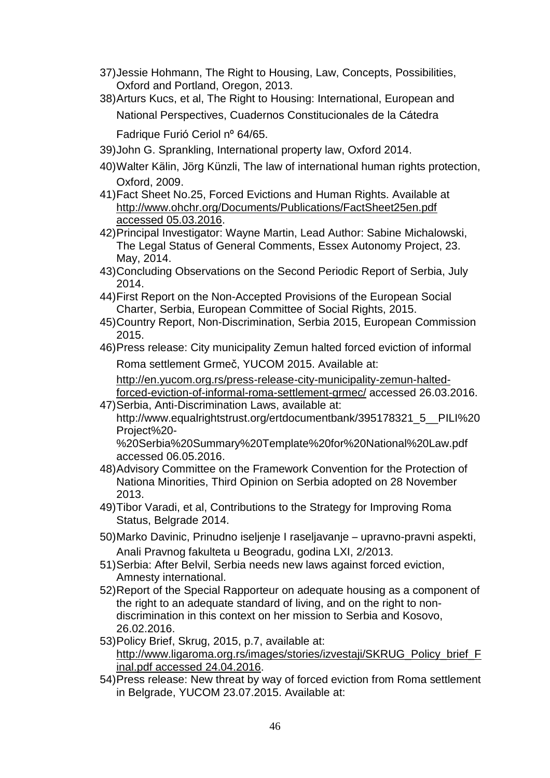- 37)Jessie Hohmann, The Right to Housing, Law, Concepts, Possibilities, Oxford and Portland, Oregon, 2013.
- 38)Arturs Kucs, et al, The Right to Housing: International, European and National Perspectives, Cuadernos Constitucionales de la Cátedra Fadrique Furió Ceriol nº 64/65.
- 39)John G. Sprankling, International property law, Oxford 2014.
- 40)Walter Kälin, Jörg Künzli, The law of international human rights protection, Oxford, 2009.
- 41)Fact Sheet No.25, Forced Evictions and Human Rights. Available at [http://www.ohchr.org/Documents/Publications/FactSheet25en.pdf](http://www.ohchr.org/Documents/Publications/FactSheet25en.pdf%20accessed%2005.03.2016) accessed [05.03.2016.](http://www.ohchr.org/Documents/Publications/FactSheet25en.pdf%20accessed%2005.03.2016)
- 42)Principal Investigator: Wayne Martin, Lead Author: Sabine Michalowski, The Legal Status of General Comments, Essex Autonomy Project, 23. May, 2014.
- 43)Concluding Observations on the Second Periodic Report of Serbia, July 2014.
- 44)First Report on the Non-Accepted Provisions of the European Social Charter, Serbia, European Committee of Social Rights, 2015.
- 45)Country Report, Non-Discrimination, Serbia 2015, European Commission 2015.
- 46)Press release: City municipality Zemun halted forced eviction of informal Roma settlement Grmeč, YUCOM 2015. Available at:

[http://en.yucom.org.rs/press-release-city-municipality-zemun-halted-](http://en.yucom.org.rs/press-release-city-municipality-zemun-halted-forced-eviction-of-informal-roma-settlement-grmec/)

[forced-eviction-of-informal-roma-settlement-grmec/](http://en.yucom.org.rs/press-release-city-municipality-zemun-halted-forced-eviction-of-informal-roma-settlement-grmec/) accessed 26.03.2016. 47)Serbia, Anti-Discrimination Laws, available at:

http://www.equalrightstrust.org/ertdocumentbank/395178321\_5\_\_PILI%20 Project%20-

%20Serbia%20Summary%20Template%20for%20National%20Law.pdf accessed 06.05.2016.

- 48)Advisory Committee on the Framework Convention for the Protection of Nationa Minorities, Third Opinion on Serbia adopted on 28 November 2013.
- 49)Tibor Varadi, et al, Contributions to the Strategy for Improving Roma Status, Belgrade 2014.
- 50)Marko Davinic, Prinudno iseljenje I raseljavanje upravno-pravni aspekti, Anali Pravnog fakulteta u Beogradu, godina LXI, 2/2013.
- 51)Serbia: After Belvil, Serbia needs new laws against forced eviction, Amnesty international.
- 52)Report of the Special Rapporteur on adequate housing as a component of the right to an adequate standard of living, and on the right to nondiscrimination in this context on her mission to Serbia and Kosovo, 26.02.2016.
- 53)Policy Brief, Skrug, 2015, p.7, available at: [http://www.ligaroma.org.rs/images/stories/izvestaji/SKRUG\\_Policy\\_brief\\_F](http://www.ligaroma.org.rs/images/stories/izvestaji/SKRUG_Policy_brief_Final.pdf%20accessed%2024.04.2016) inal.pdf accessed [24.04.2016.](http://www.ligaroma.org.rs/images/stories/izvestaji/SKRUG_Policy_brief_Final.pdf%20accessed%2024.04.2016)
- 54)Press release: New threat by way of forced eviction from Roma settlement in Belgrade, YUCOM 23.07.2015. Available at: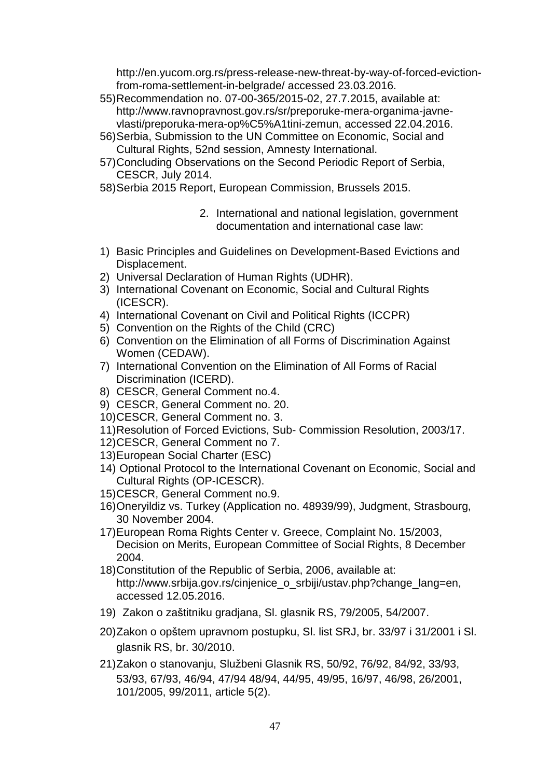http://en.yucom.org.rs/press-release-new-threat-by-way-of-forced-evictionfrom-roma-settlement-in-belgrade/ accessed 23.03.2016.

- 55)Recommendation no. 07-00-365/2015-02, 27.7.2015, available at: http://www.ravnopravnost.gov.rs/sr/preporuke-mera-organima-javnevlasti/preporuka-mera-op%C5%A1tini-zemun, accessed 22.04.2016.
- 56)Serbia, Submission to the UN Committee on Economic, Social and Cultural Rights, 52nd session, Amnesty International.
- 57)Concluding Observations on the Second Periodic Report of Serbia, CESCR, July 2014.
- 58)Serbia 2015 Report, European Commission, Brussels 2015.
	- 2. International and national legislation, government documentation and international case law:
- 1) Basic Principles and Guidelines on Development-Based Evictions and Displacement.
- 2) Universal Declaration of Human Rights (UDHR).
- 3) International Covenant on Economic, Social and Cultural Rights (ICESCR).
- 4) International Covenant on Civil and Political Rights (ICCPR)
- 5) Convention on the Rights of the Child (CRC)
- 6) Convention on the Elimination of all Forms of Discrimination Against Women (CEDAW).
- 7) International Convention on the Elimination of All Forms of Racial Discrimination (ICERD).
- 8) CESCR, General Comment no.4.
- 9) CESCR, General Comment no. 20.
- 10)CESCR, General Comment no. 3.
- 11)Resolution of Forced Evictions, Sub- Commission Resolution, 2003/17.
- 12)CESCR, General Comment no 7.
- 13)European Social Charter (ESC)
- 14) Optional Protocol to the International Covenant on Economic, Social and Cultural Rights (OP-ICESCR).
- 15)CESCR, General Comment no.9.
- 16)Oneryildiz vs. Turkey (Application no. 48939/99), Judgment, Strasbourg, 30 November 2004.
- 17)European Roma Rights Center v. Greece, Complaint No. 15/2003, Decision on Merits, European Committee of Social Rights, 8 December 2004.
- 18)Constitution of the Republic of Serbia, 2006, available at: http://www.srbija.gov.rs/cinjenice\_o\_srbiji/ustav.php?change\_lang=en, accessed 12.05.2016.
- 19) Zakon o zaštitniku gradjana, Sl. glasnik RS, 79/2005, 54/2007.
- 20)Zakon o opštem upravnom postupku, Sl. list SRJ, br. 33/97 i 31/2001 i Sl. glasnik RS, br. 30/2010.
- 21)Zakon o stanovanju, Službeni Glasnik RS, 50/92, 76/92, 84/92, 33/93, 53/93, 67/93, 46/94, 47/94 48/94, 44/95, 49/95, 16/97, 46/98, 26/2001, 101/2005, 99/2011, article 5(2).